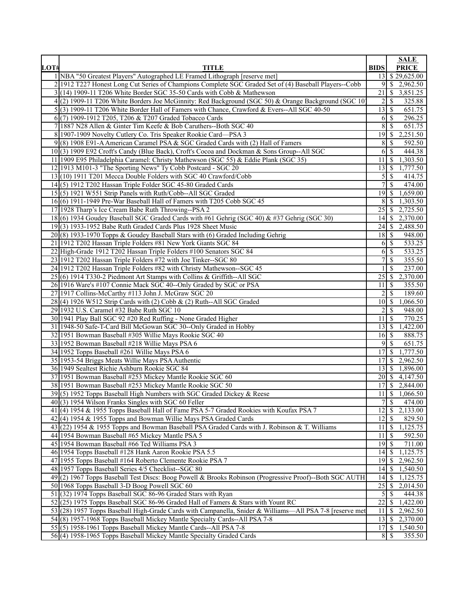| LOT#            | <b>TITLE</b>                                                                                                                      | <b>BIDS</b>                  | <b>SALE</b><br><b>PRICE</b>              |
|-----------------|-----------------------------------------------------------------------------------------------------------------------------------|------------------------------|------------------------------------------|
|                 | 1 NBA "50 Greatest Players" Autographed LE Framed Lithograph [reserve met]                                                        | 13 <sup>1</sup>              | \$29,625.00                              |
|                 | 2 1912 T227 Honest Long Cut Series of Champions Complete SGC Graded Set of (4) Baseball Players--Cobb                             | 91                           | \$2,962.50                               |
|                 | $3(14)$ 1909-11 T206 White Border SGC 35-50 Cards with Cobb & Mathewson                                                           | 21                           | \$<br>3,851.25                           |
|                 | 4(2) 1909-11 T206 White Borders Joe McGinnity: Red Background (SGC 50) & Orange Background (SGC 10)                               | $\overline{2}$               | 325.88<br>S                              |
|                 | 5(3) 1909-11 T206 White Border Hall of Famers with Chance, Crawford & Evers--All SGC 40-50                                        | $13$ $\sqrt{5}$              | 651.75                                   |
|                 | 6(7) 1909-1912 T205, T206 & T207 Graded Tobacco Cards                                                                             | 6                            | 296.25<br>S                              |
|                 | 7 1887 N28 Allen & Ginter Tim Keefe & Bob Caruthers--Both SGC 40                                                                  | 8                            | S<br>651.75                              |
|                 | 8 1907-1909 Novelty Cutlery Co. Tris Speaker Rookie Card-PSA 3                                                                    | 19 <sup>1</sup>              | <sup>\$</sup><br>2,251.50                |
|                 | 9(8) 1908 E91-A American Caramel PSA & SGC Graded Cards with (2) Hall of Famers                                                   | 8                            | 592.50<br>S                              |
|                 | 10(3) 1909 E92 Croft's Candy (Blue Back), Croft's Cocoa and Dockman & Sons Group--All SGC                                         | 6                            | \$<br>444.38                             |
|                 | 11 1909 E95 Philadelphia Caramel: Christy Mathewson (SGC 55) & Eddie Plank (SGC 35)                                               | 11                           | \$<br>1,303.50                           |
|                 | 12 1913 M101-3 "The Sporting News" Ty Cobb Postcard - SGC 20                                                                      | 13                           | 1,777.50<br>l \$                         |
|                 | 13(10) 1911 T201 Mecca Double Folders with SGC 40 Crawford/Cobb                                                                   |                              | $\overline{5}$ $\overline{\$}$<br>414.75 |
|                 | $14(5)$ 1912 T202 Hassan Triple Folder SGC 45-80 Graded Cards                                                                     | 7                            | S<br>474.00                              |
|                 | 15(5) 1921 W551 Strip Panels with Ruth/Cobb--All SGC Graded                                                                       | 19                           | 1,659.00<br>\$                           |
|                 | 16(6) 1911-1949 Pre-War Baseball Hall of Famers with T205 Cobb SGC 45                                                             | 8                            | S<br>1,303.50                            |
|                 | 17 1928 Tharp's Ice Cream Babe Ruth Throwing--PSA 2                                                                               | 25                           | 2,725.50<br>S                            |
|                 | 18(6) 1934 Goudey Baseball SGC Graded Cards with #61 Gehrig (SGC 40) & #37 Gehrig (SGC 30)                                        | 14I                          | 2,370.00<br>\$                           |
|                 | $19(3)$ 1933-1952 Babe Ruth Graded Cards Plus 1928 Sheet Music                                                                    | $24$ S                       | 2,488.50                                 |
|                 | 20(8) 1933-1970 Topps & Goudey Baseball Stars with (6) Graded Including Gehrig                                                    | 18 L                         | 948.00<br>S                              |
|                 | 21 1912 T202 Hassan Triple Folders #81 New York Giants SGC 84                                                                     | 6I                           | 533.25<br>\$                             |
|                 | 22 High-Grade 1912 T202 Hassan Triple Folders #100 Senators SGC 84                                                                | 6                            | \$<br>533.25                             |
|                 | 23 1912 T202 Hassan Triple Folders #72 with Joe Tinker--SGC 80                                                                    | $\overline{7}$               | 355.50<br>S                              |
|                 | 24 1912 T202 Hassan Triple Folders #82 with Christy Mathewson--SGC 45                                                             |                              | 237.00<br>S                              |
|                 | 25(6) 1914 T330-2 Piedmont Art Stamps with Collins & Griffith--All SGC                                                            | 25                           | 2,370.00<br>  \$                         |
|                 | 26 1916 Ware's #107 Connie Mack SGC 40--Only Graded by SGC or PSA                                                                 | 11                           | 355.50<br>S                              |
|                 | 27 1917 Collins-McCarthy #113 John J. McGraw SGC 20                                                                               | $\overline{2}$               | S<br>189.60                              |
|                 | 28(4) 1926 W512 Strip Cards with (2) Cobb & (2) Ruth--All SGC Graded                                                              | $10\vert S$                  | 1,066.50                                 |
|                 | 29 1932 U.S. Caramel #32 Babe Ruth SGC 10                                                                                         | $\overline{c}$               | <sup>\$</sup><br>948.00                  |
|                 | 30 1941 Play Ball SGC 92 #20 Red Ruffing - None Graded Higher<br>31 1948-50 Safe-T-Card Bill McGowan SGC 30--Only Graded in Hobby | 11                           | l \$<br>770.25                           |
|                 | 32 1951 Bowman Baseball #305 Willie Mays Rookie SGC 40                                                                            | $13 \mid$ \$<br>$16 \mid$ \$ | 1,422.00<br>888.75                       |
|                 | 33 1952 Bowman Baseball #218 Willie Mays PSA 6                                                                                    | 9                            | 651.75<br>S                              |
|                 | 34 1952 Topps Baseball #261 Willie Mays PSA 6                                                                                     | 17                           | 1,777.50<br><sup>\$</sup>                |
|                 | 35 1953-54 Briggs Meats Willie Mays PSA Authentic                                                                                 | 17                           | S<br>2,962.50                            |
|                 | 36 1949 Sealtest Richie Ashburn Rookie SGC 84                                                                                     | 13                           | S<br>1,896.00                            |
|                 | 37 1951 Bowman Baseball #253 Mickey Mantle Rookie SGC 60                                                                          | $20 \mid \text{\$}$          | 4,147.50                                 |
|                 | 38 1951 Bowman Baseball #253 Mickey Mantle Rookie SGC 50                                                                          | 17                           | \$<br>2,844.00                           |
|                 | 39(5) 1952 Topps Baseball High Numbers with SGC Graded Dickey & Reese                                                             | $11 \mid$ \$                 | 1,066.50                                 |
|                 | 40(3) 1954 Wilson Franks Singles with SGC 60 Feller                                                                               | $7\vert$                     | $\overline{\mathcal{S}}$<br>474.00       |
|                 | 41(4) 1954 & 1955 Topps Baseball Hall of Fame PSA 5-7 Graded Rookies with Koufax PSA 7                                            | 12                           | 2,133.00<br>\$                           |
|                 | $42(4)$ 1954 & 1955 Topps and Bowman Willie Mays PSA Graded Cards                                                                 | 12                           | 829.50<br><sup>\$</sup>                  |
|                 | 43 (22) 1954 & 1955 Topps and Bowman Baseball PSA Graded Cards with J. Robinson & T. Williams                                     | 11                           | l \$<br>1,125.75                         |
|                 | 44 1954 Bowman Baseball #65 Mickey Mantle PSA 5                                                                                   | 11                           | \$<br>592.50                             |
|                 | 45 1954 Bowman Baseball #66 Ted Williams PSA 3                                                                                    | 19                           | 711.00<br>S                              |
|                 | 46 1954 Topps Baseball #128 Hank Aaron Rookie PSA 5.5                                                                             | $14$ $\sqrt{5}$              | 1,125.75                                 |
|                 | 47 1955 Topps Baseball #164 Roberto Clemente Rookie PSA 7                                                                         | 19                           | 2,962.50<br>\$                           |
|                 | 48 1957 Topps Baseball Series 4/5 Checklist--SGC 80                                                                               | 14                           | S<br>1,540.50                            |
|                 | 49(2) 1967 Topps Baseball Test Discs: Boog Powell & Brooks Robinson (Progressive Proof)--Both SGC AUTH                            | 14                           | \$<br>1,125.75                           |
|                 | 50 1968 Topps Baseball 3-D Boog Powell SGC 60                                                                                     | 25                           | \$<br>2,014.50                           |
| 51              | (32) 1974 Topps Baseball SGC 86-96 Graded Stars with Ryan                                                                         | $\mathfrak{S}$               | \$<br>444.38                             |
| $\overline{52}$ | (25) 1975 Topps Baseball SGC 86-96 Graded Hall of Famers & Stars with Yount RC                                                    | $22\,$                       | S<br>1,422.00                            |
| 53              | (28) 1957 Topps Baseball High-Grade Cards with Campanella, Snider & Williams—All PSA 7-8 [reserve met                             | 11                           | 2,962.50<br>S                            |
|                 | 54(8) 1957-1968 Topps Baseball Mickey Mantle Specialty Cards--All PSA 7-8                                                         | 13                           | 2,370.00<br>S                            |
|                 | 55(5) 1958-1961 Topps Baseball Mickey Mantle Cards--All PSA 7-8                                                                   | 17                           | <sup>\$</sup><br>1,540.50                |
|                 | 56(4) 1958-1965 Topps Baseball Mickey Mantle Specialty Graded Cards                                                               |                              | 355.50                                   |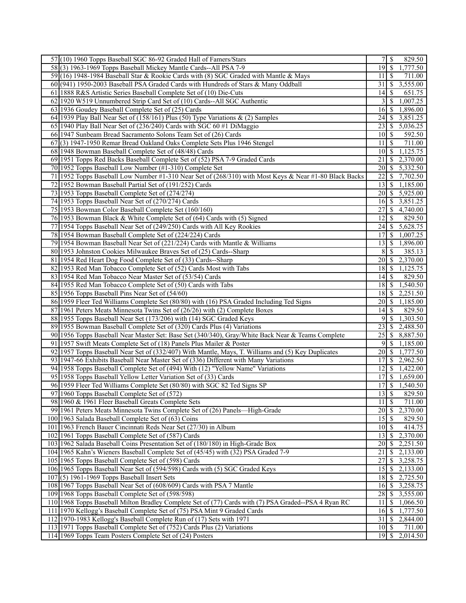| 57(10) 1960 Topps Baseball SGC 86-92 Graded Hall of Famers/Stars                                       |                     | 7s<br>829.50                           |
|--------------------------------------------------------------------------------------------------------|---------------------|----------------------------------------|
| 58(3) 1963-1969 Topps Baseball Mickey Mantle Cards--All PSA 7-9                                        | $19$ $\sqrt{5}$     | 1,777.50                               |
| 59 (16) 1948-1984 Baseball Star & Rookie Cards with (8) SGC Graded with Mantle & Mays                  | $11 \mid$ \$        | 711.00                                 |
| 60 (941) 1950-2003 Baseball PSA Graded Cards with Hundreds of Stars & Many Oddball                     | 31                  | \$<br>3,555.00                         |
| 61 1888 R&S Artistic Series Baseball Complete Set of (10) Die-Cuts                                     | 14                  | 651.75<br>S                            |
| 62 1920 W519 Unnumbered Strip Card Set of (10) Cards--All SGC Authentic                                | 3 <sup>1</sup>      | 1,007.25<br>S                          |
| 63 1936 Goudey Baseball Complete Set of (25) Cards                                                     | 16 <sup> </sup>     | 1,896.00<br>S                          |
| 64 1939 Play Ball Near Set of (158/161) Plus (50) Type Variations & (2) Samples                        | 24                  | 3,851.25<br>S                          |
| 65 1940 Play Ball Near Set of (236/240) Cards with SGC 60 #1 DiMaggio                                  | 23                  | S<br>5,036.25                          |
| 66 1947 Sunbeam Bread Sacramento Solons Team Set of (26) Cards                                         | $10$   \$           | 592.50                                 |
| 67(3) 1947-1950 Remar Bread Oakland Oaks Complete Sets Plus 1946 Stengel                               | 11                  | 711.00<br>\$                           |
| 68 1948 Bowman Baseball Complete Set of (48/48) Cards                                                  |                     | 1,125.75                               |
|                                                                                                        | 21                  | 2,370.00                               |
| 69 1951 Topps Red Backs Baseball Complete Set of (52) PSA 7-9 Graded Cards                             |                     | \$                                     |
| 70 1952 Topps Baseball Low Number (#1-310) Complete Set                                                | 20                  | 5,332.50<br>S                          |
| 71 1952 Topps Baseball Low Number #1-310 Near Set of (268/310) with Most Keys & Near #1-80 Black Backs | 22                  | S<br>7,702.50                          |
| 72 1952 Bowman Baseball Partial Set of (191/252) Cards                                                 | 13                  | 1,185.00<br>\$                         |
| 73 1953 Topps Baseball Complete Set of (274/274)                                                       | $20 \mid$ \$        | 5,925.00                               |
| 74 1953 Topps Baseball Near Set of (270/274) Cards                                                     | 16 <sub>1</sub>     | 3,851.25<br>\$                         |
| 75 1953 Bowman Color Baseball Complete Set (160/160)                                                   | 27                  | 4,740.00<br>S                          |
| 76 1953 Bowman Black & White Complete Set of (64) Cards with (5) Signed                                | 12                  | 829.50<br>S                            |
| 77 1954 Topps Baseball Near Set of (249/250) Cards with All Key Rookies                                | 24                  | 5,628.75<br>S                          |
| 78 1954 Bowman Baseball Complete Set of (224/224) Cards                                                | 17                  | \$<br>1,007.25                         |
| 79 1954 Bowman Baseball Near Set of (221/224) Cards with Mantle & Williams                             | 13                  | \$<br>1,896.00                         |
| 80 1953 Johnston Cookies Milwaukee Braves Set of (25) Cards--Sharp                                     | 8                   | <sup>\$</sup><br>385.13                |
| 81 1954 Red Heart Dog Food Complete Set of (33) Cards--Sharp                                           | 20I                 | 2,370.00<br>S                          |
| 82 1953 Red Man Tobacco Complete Set of (52) Cards Most with Tabs                                      |                     | 1,125.75                               |
| 83 1954 Red Man Tobacco Near Master Set of (53/54) Cards                                               | 14                  | S<br>829.50                            |
| 84 1955 Red Man Tobacco Complete Set of (50) Cards with Tabs                                           | 18 I                | \$<br>1,540.50                         |
| 85 1956 Topps Baseball Pins Near Set of (54/60)                                                        | 18                  | 2,251.50<br>\$                         |
| 86 1959 Fleer Ted Williams Complete Set (80/80) with (16) PSA Graded Including Ted Signs               | $20$   \$           | 1,185.00                               |
| 87 1961 Peters Meats Minnesota Twins Set of (26/26) with (2) Complete Boxes                            | 14                  | S<br>829.50                            |
| 88 1955 Topps Baseball Near Set (173/206) with (14) SGC Graded Keys                                    | $9$ \ $\frac{1}{3}$ | 1,303.50                               |
| 89 1955 Bowman Baseball Complete Set of (320) Cards Plus (4) Variations                                | 23                  | \$<br>2,488.50                         |
| 90 1956 Topps Baseball Near Master Set: Base Set (340/340), Gray/White Back Near & Teams Complete      | 25                  | \$<br>8,887.50                         |
| 91 1957 Swift Meats Complete Set of (18) Panels Plus Mailer & Poster                                   | 9                   | \$<br>1,185.00                         |
| 92 1957 Topps Baseball Near Set of (332/407) With Mantle, Mays, T. Williams and (5) Key Duplicates     |                     | 1,777.50                               |
| 93 1947-66 Exhibits Baseball Near Master Set of (336) Different with Many Variations                   | 17                  | S<br>2,962.50                          |
| 94 1958 Topps Baseball Complete Set of (494) With (12) "Yellow Name" Variations                        | 12 <sup>1</sup>     | 1,422.00<br><sup>\$</sup>              |
| 95 1958 Topps Baseball Yellow Letter Variation Set of (33) Cards                                       | 17 I                | S<br>1,659.00                          |
| 96 1959 Fleer Ted Williams Complete Set (80/80) with SGC 82 Ted Signs SP                               | 17                  | \$<br>1,540.50                         |
| 97 1960 Topps Baseball Complete Set of (572)                                                           |                     | 829.50                                 |
| 98 1960 & 1961 Fleer Baseball Greats Complete Sets                                                     | $11 \mid$ \$        | 711.00                                 |
| 99 1961 Peters Meats Minnesota Twins Complete Set of (26) Panels—High-Grade                            | 20 <sup> </sup>     | <sup>\$</sup><br>2,370.00              |
| 100 1963 Salada Baseball Complete Set of (63) Coins                                                    |                     | 829.50                                 |
| 101 1963 French Bauer Cincinnati Reds Near Set (27/30) in Album                                        | $10$ $\sqrt{5}$     | 414.75                                 |
| 102 1961 Topps Baseball Complete Set of (587) Cards                                                    | 13 <sup>1</sup>     | 2,370.00<br>S                          |
| 103 1962 Salada Baseball Coins Presentation Set of (180/180) in High-Grade Box                         | 20                  | 2,251.50<br>\$                         |
| 104 1965 Kahn's Wieners Baseball Complete Set of (45/45) with (32) PSA Graded 7-9                      | 21                  | \$<br>2,133.00                         |
| 105 1965 Topps Baseball Complete Set of (598) Cards                                                    | 27                  | <sup>\$</sup><br>3,258.75              |
| 106 1965 Topps Baseball Near Set of (594/598) Cards with (5) SGC Graded Keys                           | 15                  | \$<br>2,133.00                         |
| $107(5)$ 1961-1969 Topps Baseball Insert Sets                                                          | 18 <sup> </sup>     | \$<br>2,725.50                         |
| 108 1967 Topps Baseball Near Set of (608/609) Cards with PSA 7 Mantle                                  | 16 <sub>1</sub>     | 3,258.75<br>S                          |
| 109 1968 Topps Baseball Complete Set of (598/598)                                                      | 28                  | \$<br>3,555.00                         |
| 110 1968 Topps Baseball Milton Bradley Complete Set of (77) Cards with (7) PSA Graded--PSA 4 Ryan RC   | 11                  | \$<br>1,066.50                         |
| 111 1970 Kellogg's Baseball Complete Set of (75) PSA Mint 9 Graded Cards                               | 16 <sup> </sup>     | \$<br>1,777.50                         |
| 112 1970-1983 Kellogg's Baseball Complete Run of (17) Sets with 1971                                   | 31                  | $\overline{2,844.00}$<br><sup>\$</sup> |
| 113 1971 Topps Baseball Complete Set of (752) Cards Plus (2) Variations                                | 10 <sup> </sup>     | \$<br>711.00                           |
| 114 1969 Topps Team Posters Complete Set of (24) Posters                                               | 19 <sup> </sup>     | \$<br>2,014.50                         |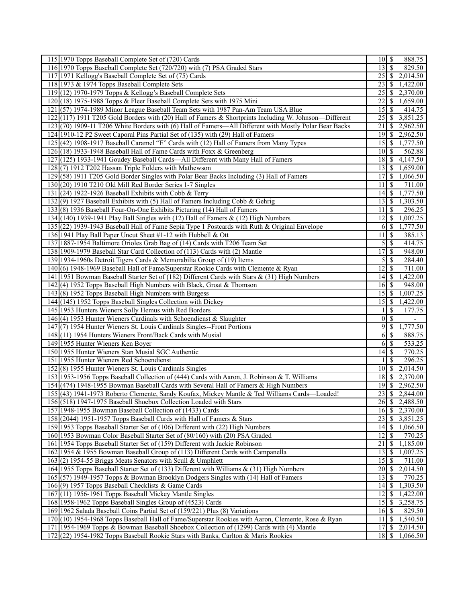| 115 1970 Topps Baseball Complete Set of (720) Cards<br>888.75<br>$10 \mid S$<br>$13$ $\sqrt{5}$<br>116 1970 Topps Baseball Complete Set (720/720) with (7) PSA Graded Stars<br>829.50<br>117 1971 Kellogg's Baseball Complete Set of (75) Cards<br>2,014.50<br>118 1973 & 1974 Topps Baseball Complete Sets<br>\$<br>1,422.00<br>23<br>119 (12) 1970-1979 Topps & Kellogg's Baseball Complete Sets<br>2,370.00<br>25<br>S<br>120(18) 1975-1988 Topps & Fleer Baseball Complete Sets with 1975 Mini<br>22<br>1,659.00<br>\$<br>121 (57) 1974-1989 Minor League Baseball Team Sets with 1987 Pan-Am Team USA Blue<br>15<br>414.75<br>S<br>122(117) 1911 T205 Gold Borders with (20) Hall of Famers & Shortprints Including W. Johnson-Different<br>3,851.25<br>25 I<br>S<br>123(70) 1909-11 T206 White Borders with (6) Hall of Famers—All Different with Mostly Polar Bear Backs<br>21<br>\$<br>2,962.50<br>124 1910-12 P2 Sweet Caporal Pins Partial Set of (135) with (29) Hall of Famers<br>\$<br>2,962.50<br>19 I<br>125 (42) 1908-1917 Baseball Caramel "E" Cards with (12) Hall of Famers from Many Types<br>1,777.50<br>562.88<br>126 (18) 1933-1948 Baseball Hall of Fame Cards with Foxx & Greenberg<br>$10\vert S$<br>127 (125) 1933-1941 Goudey Baseball Cards-All Different with Many Hall of Famers<br>4,147.50<br>$18$ $\sqrt{S}$<br>128(7) 1912 T202 Hassan Triple Folders with Mathewson<br>1,659.00<br>$13$ $\sqrt{5}$<br>1,066.50<br>129 (58) 1911 T205 Gold Border Singles with Polar Bear Backs Including (3) Hall of Famers<br>$130(20) 1910$ T210 Old Mill Red Border Series 1-7 Singles<br>\$<br>711.00<br>11<br>1,777.50<br>131 (24) 1922-1926 Baseball Exhibits with Cobb & Terry<br>14  <br>S<br>13<br>132(9) 1927 Baseball Exhibits with (5) Hall of Famers Including Cobb & Gehrig<br>l \$<br>1,303.50<br>133(8) 1936 Baseball Four-On-One Exhibits Picturing (14) Hall of Famers<br>11<br><sup>\$</sup><br>296.25<br>134 (140) 1939-1941 Play Ball Singles with (12) Hall of Famers & (12) High Numbers<br>1,007.25<br>12<br>S<br>1,777.50<br>135 (22) 1939-1943 Baseball Hall of Fame Sepia Type 1 Postcards with Ruth & Original Envelope<br>l \$<br>6<br>136 1941 Play Ball Paper Uncut Sheet #1-12 with Hubbell & Ott<br>\$<br>385.13<br>11<br>\$<br>414.75<br>137 1887-1954 Baltimore Orioles Grab Bag of (14) Cards with T206 Team Set<br>5<br>138 1909-1979 Baseball Star Card Collection of (113) Cards with (2) Mantle<br>17 <sup>1</sup><br>S<br>948.00<br>$\overline{5}$<br>284.40<br>139 1934-1960s Detroit Tigers Cards & Memorabilia Group of (19) Items<br><sup>\$</sup><br>711.00<br>140 (6) 1948-1969 Baseball Hall of Fame/Superstar Rookie Cards with Clemente & Ryan<br>12<br><sup>\$</sup><br>141 1951 Bowman Baseball Starter Set of (182) Different Cards with Stars & (31) High Numbers<br>1,422.00<br>$14$ $\sqrt{5}$<br>142(4) 1952 Topps Baseball High Numbers with Black, Groat & Thomson<br><sup>\$</sup><br>948.00<br>16 <sup>-1</sup><br>1,007.25<br>143(8) 1952 Topps Baseball High Numbers with Burgess<br>15<br>S<br>144 (145) 1952 Topps Baseball Singles Collection with Dickey<br>$\overline{15}$ \$<br>1,422.00<br>177.75<br>145 1953 Hunters Wieners Solly Hemus with Red Borders<br>\$<br>\$<br>146(4) 1953 Hunter Wieners Cardinals with Schoendienst & Slaughter<br> 0 <br>147(7) 1954 Hunter Wieners St. Louis Cardinals Singles--Front Portions<br>9<br><sup>\$</sup><br>1,777.50<br>148 (11) 1954 Hunters Wieners Front/Back Cards with Musial<br><sup>\$</sup><br>888.75<br><sup>6</sup><br>\$<br>533.25<br>149 1955 Hunter Wieners Ken Boyer<br>6<br>150 1955 Hunter Wieners Stan Musial SGC Authentic<br>14<br>S<br>770.25<br>151 1955 Hunter Wieners Red Schoendienst<br><sup>\$</sup><br>296.25<br>152(8) 1955 Hunter Wieners St. Louis Cardinals Singles<br>2,014.50<br>$10$ $\sqrt{5}$<br>153 1953-1956 Topps Baseball Collection of (444) Cards with Aaron, J. Robinson & T. Williams<br>\$<br>2,370.00<br>18 <sup> </sup><br>$\overline{19}$ \$<br>154 (474) 1948-1955 Bowman Baseball Cards with Several Hall of Famers & High Numbers<br>2,962.50<br>$\mathbb{S}$<br>23<br>2,844.00<br>155 (43) 1941-1973 Roberto Clemente, Sandy Koufax, Mickey Mantle & Ted Williams Cards—Loaded!<br>\$<br>2,488.50<br>156 (518) 1947-1975 Baseball Shoebox Collection Loaded with Stars<br>26<br>157 1948-1955 Bowman Baseball Collection of (1433) Cards<br>\$<br>2,370.00<br>16 <sub>1</sub><br>158 (2044) 1951-1957 Topps Baseball Cards with Hall of Famers & Stars<br>23<br>\$<br>3,851.25<br>159 1953 Topps Baseball Starter Set of (106) Different with (22) High Numbers<br>14<br>\$<br>1,066.50<br>\$<br>160 1953 Bowman Color Baseball Starter Set of (80/160) with (20) PSA Graded<br>12<br>770.25<br>21<br>1,185.00<br>161 1954 Topps Baseball Starter Set of (159) Different with Jackie Robinson<br>\$<br>162 1954 & 1955 Bowman Baseball Group of (113) Different Cards with Campanella<br>13<br>  \$<br>1,007.25<br>15<br><sup>\$</sup><br>163(2) 1954-55 Briggs Meats Senators with Scull & Umphlett<br>711.00<br>2,014.50<br>164 1955 Topps Baseball Starter Set of (133) Different with Williams & (31) High Numbers<br>165 (57) 1949-1957 Topps & Bowman Brooklyn Dodgers Singles with (14) Hall of Famers<br><sup>\$</sup><br>13<br>770.25<br>166(9) 1957 Topps Baseball Checklists & Game Cards<br>\$<br>1,303.50<br>14  <br>12<br>167 (11) 1956-1961 Topps Baseball Mickey Mantle Singles<br>\$<br>1,422.00<br>3,258.75<br>168 1958-1962 Topps Baseball Singles Group of (4523) Cards<br>15<br>\$<br>169 1962 Salada Baseball Coins Partial Set of (159/221) Plus (8) Variations<br>$16 \mid$ \$<br>829.50<br>11<br>  \$<br>1,540.50<br>170 (10) 1954-1968 Topps Baseball Hall of Fame/Superstar Rookies with Aaron, Clemente, Rose & Ryan<br>171 1954-1969 Topps & Bowman Baseball Shoebox Collection of (1299) Cards with (4) Mantle<br>\$<br>17<br>2,014.50<br>172 (22) 1954-1982 Topps Baseball Rookie Stars with Banks, Carlton & Maris Rookies<br>18<br>S<br>1,066.50 |  |  |
|----------------------------------------------------------------------------------------------------------------------------------------------------------------------------------------------------------------------------------------------------------------------------------------------------------------------------------------------------------------------------------------------------------------------------------------------------------------------------------------------------------------------------------------------------------------------------------------------------------------------------------------------------------------------------------------------------------------------------------------------------------------------------------------------------------------------------------------------------------------------------------------------------------------------------------------------------------------------------------------------------------------------------------------------------------------------------------------------------------------------------------------------------------------------------------------------------------------------------------------------------------------------------------------------------------------------------------------------------------------------------------------------------------------------------------------------------------------------------------------------------------------------------------------------------------------------------------------------------------------------------------------------------------------------------------------------------------------------------------------------------------------------------------------------------------------------------------------------------------------------------------------------------------------------------------------------------------------------------------------------------------------------------------------------------------------------------------------------------------------------------------------------------------------------------------------------------------------------------------------------------------------------------------------------------------------------------------------------------------------------------------------------------------------------------------------------------------------------------------------------------------------------------------------------------------------------------------------------------------------------------------------------------------------------------------------------------------------------------------------------------------------------------------------------------------------------------------------------------------------------------------------------------------------------------------------------------------------------------------------------------------------------------------------------------------------------------------------------------------------------------------------------------------------------------------------------------------------------------------------------------------------------------------------------------------------------------------------------------------------------------------------------------------------------------------------------------------------------------------------------------------------------------------------------------------------------------------------------------------------------------------------------------------------------------------------------------------------------------------------------------------------------------------------------------------------------------------------------------------------------------------------------------------------------------------------------------------------------------------------------------------------------------------------------------------------------------------------------------------------------------------------------------------------------------------------------------------------------------------------------------------------------------------------------------------------------------------------------------------------------------------------------------------------------------------------------------------------------------------------------------------------------------------------------------------------------------------------------------------------------------------------------------------------------------------------------------------------------------------------------------------------------------------------------------------------------------------------------------------------------------------------------------------------------------------------------------------------------------------------------------------------------------------------------------------------------------------------------------------------------------------------------------------------------------------------------------------------------------------------------------------------------------------------------------------------------------------------------------------------------------------------------------------------------------------------------------------------------------------------------------------------------------------------------------------------------------------------------------------------------------------------------------------------------------------------------------------------------------------------------------------------------------------------------------------------------------------------------------------------------------------------------------------------------------------------------------------------------------------------------------------------------------------------------------------------------------|--|--|
|                                                                                                                                                                                                                                                                                                                                                                                                                                                                                                                                                                                                                                                                                                                                                                                                                                                                                                                                                                                                                                                                                                                                                                                                                                                                                                                                                                                                                                                                                                                                                                                                                                                                                                                                                                                                                                                                                                                                                                                                                                                                                                                                                                                                                                                                                                                                                                                                                                                                                                                                                                                                                                                                                                                                                                                                                                                                                                                                                                                                                                                                                                                                                                                                                                                                                                                                                                                                                                                                                                                                                                                                                                                                                                                                                                                                                                                                                                                                                                                                                                                                                                                                                                                                                                                                                                                                                                                                                                                                                                                                                                                                                                                                                                                                                                                                                                                                                                                                                                                                                                                                                                                                                                                                                                                                                                                                                                                                                                                                                                                                                                                                                                                                                                                                                                                                                                                                                                                                                                                                                                                                            |  |  |
|                                                                                                                                                                                                                                                                                                                                                                                                                                                                                                                                                                                                                                                                                                                                                                                                                                                                                                                                                                                                                                                                                                                                                                                                                                                                                                                                                                                                                                                                                                                                                                                                                                                                                                                                                                                                                                                                                                                                                                                                                                                                                                                                                                                                                                                                                                                                                                                                                                                                                                                                                                                                                                                                                                                                                                                                                                                                                                                                                                                                                                                                                                                                                                                                                                                                                                                                                                                                                                                                                                                                                                                                                                                                                                                                                                                                                                                                                                                                                                                                                                                                                                                                                                                                                                                                                                                                                                                                                                                                                                                                                                                                                                                                                                                                                                                                                                                                                                                                                                                                                                                                                                                                                                                                                                                                                                                                                                                                                                                                                                                                                                                                                                                                                                                                                                                                                                                                                                                                                                                                                                                                            |  |  |
|                                                                                                                                                                                                                                                                                                                                                                                                                                                                                                                                                                                                                                                                                                                                                                                                                                                                                                                                                                                                                                                                                                                                                                                                                                                                                                                                                                                                                                                                                                                                                                                                                                                                                                                                                                                                                                                                                                                                                                                                                                                                                                                                                                                                                                                                                                                                                                                                                                                                                                                                                                                                                                                                                                                                                                                                                                                                                                                                                                                                                                                                                                                                                                                                                                                                                                                                                                                                                                                                                                                                                                                                                                                                                                                                                                                                                                                                                                                                                                                                                                                                                                                                                                                                                                                                                                                                                                                                                                                                                                                                                                                                                                                                                                                                                                                                                                                                                                                                                                                                                                                                                                                                                                                                                                                                                                                                                                                                                                                                                                                                                                                                                                                                                                                                                                                                                                                                                                                                                                                                                                                                            |  |  |
|                                                                                                                                                                                                                                                                                                                                                                                                                                                                                                                                                                                                                                                                                                                                                                                                                                                                                                                                                                                                                                                                                                                                                                                                                                                                                                                                                                                                                                                                                                                                                                                                                                                                                                                                                                                                                                                                                                                                                                                                                                                                                                                                                                                                                                                                                                                                                                                                                                                                                                                                                                                                                                                                                                                                                                                                                                                                                                                                                                                                                                                                                                                                                                                                                                                                                                                                                                                                                                                                                                                                                                                                                                                                                                                                                                                                                                                                                                                                                                                                                                                                                                                                                                                                                                                                                                                                                                                                                                                                                                                                                                                                                                                                                                                                                                                                                                                                                                                                                                                                                                                                                                                                                                                                                                                                                                                                                                                                                                                                                                                                                                                                                                                                                                                                                                                                                                                                                                                                                                                                                                                                            |  |  |
|                                                                                                                                                                                                                                                                                                                                                                                                                                                                                                                                                                                                                                                                                                                                                                                                                                                                                                                                                                                                                                                                                                                                                                                                                                                                                                                                                                                                                                                                                                                                                                                                                                                                                                                                                                                                                                                                                                                                                                                                                                                                                                                                                                                                                                                                                                                                                                                                                                                                                                                                                                                                                                                                                                                                                                                                                                                                                                                                                                                                                                                                                                                                                                                                                                                                                                                                                                                                                                                                                                                                                                                                                                                                                                                                                                                                                                                                                                                                                                                                                                                                                                                                                                                                                                                                                                                                                                                                                                                                                                                                                                                                                                                                                                                                                                                                                                                                                                                                                                                                                                                                                                                                                                                                                                                                                                                                                                                                                                                                                                                                                                                                                                                                                                                                                                                                                                                                                                                                                                                                                                                                            |  |  |
|                                                                                                                                                                                                                                                                                                                                                                                                                                                                                                                                                                                                                                                                                                                                                                                                                                                                                                                                                                                                                                                                                                                                                                                                                                                                                                                                                                                                                                                                                                                                                                                                                                                                                                                                                                                                                                                                                                                                                                                                                                                                                                                                                                                                                                                                                                                                                                                                                                                                                                                                                                                                                                                                                                                                                                                                                                                                                                                                                                                                                                                                                                                                                                                                                                                                                                                                                                                                                                                                                                                                                                                                                                                                                                                                                                                                                                                                                                                                                                                                                                                                                                                                                                                                                                                                                                                                                                                                                                                                                                                                                                                                                                                                                                                                                                                                                                                                                                                                                                                                                                                                                                                                                                                                                                                                                                                                                                                                                                                                                                                                                                                                                                                                                                                                                                                                                                                                                                                                                                                                                                                                            |  |  |
|                                                                                                                                                                                                                                                                                                                                                                                                                                                                                                                                                                                                                                                                                                                                                                                                                                                                                                                                                                                                                                                                                                                                                                                                                                                                                                                                                                                                                                                                                                                                                                                                                                                                                                                                                                                                                                                                                                                                                                                                                                                                                                                                                                                                                                                                                                                                                                                                                                                                                                                                                                                                                                                                                                                                                                                                                                                                                                                                                                                                                                                                                                                                                                                                                                                                                                                                                                                                                                                                                                                                                                                                                                                                                                                                                                                                                                                                                                                                                                                                                                                                                                                                                                                                                                                                                                                                                                                                                                                                                                                                                                                                                                                                                                                                                                                                                                                                                                                                                                                                                                                                                                                                                                                                                                                                                                                                                                                                                                                                                                                                                                                                                                                                                                                                                                                                                                                                                                                                                                                                                                                                            |  |  |
|                                                                                                                                                                                                                                                                                                                                                                                                                                                                                                                                                                                                                                                                                                                                                                                                                                                                                                                                                                                                                                                                                                                                                                                                                                                                                                                                                                                                                                                                                                                                                                                                                                                                                                                                                                                                                                                                                                                                                                                                                                                                                                                                                                                                                                                                                                                                                                                                                                                                                                                                                                                                                                                                                                                                                                                                                                                                                                                                                                                                                                                                                                                                                                                                                                                                                                                                                                                                                                                                                                                                                                                                                                                                                                                                                                                                                                                                                                                                                                                                                                                                                                                                                                                                                                                                                                                                                                                                                                                                                                                                                                                                                                                                                                                                                                                                                                                                                                                                                                                                                                                                                                                                                                                                                                                                                                                                                                                                                                                                                                                                                                                                                                                                                                                                                                                                                                                                                                                                                                                                                                                                            |  |  |
|                                                                                                                                                                                                                                                                                                                                                                                                                                                                                                                                                                                                                                                                                                                                                                                                                                                                                                                                                                                                                                                                                                                                                                                                                                                                                                                                                                                                                                                                                                                                                                                                                                                                                                                                                                                                                                                                                                                                                                                                                                                                                                                                                                                                                                                                                                                                                                                                                                                                                                                                                                                                                                                                                                                                                                                                                                                                                                                                                                                                                                                                                                                                                                                                                                                                                                                                                                                                                                                                                                                                                                                                                                                                                                                                                                                                                                                                                                                                                                                                                                                                                                                                                                                                                                                                                                                                                                                                                                                                                                                                                                                                                                                                                                                                                                                                                                                                                                                                                                                                                                                                                                                                                                                                                                                                                                                                                                                                                                                                                                                                                                                                                                                                                                                                                                                                                                                                                                                                                                                                                                                                            |  |  |
|                                                                                                                                                                                                                                                                                                                                                                                                                                                                                                                                                                                                                                                                                                                                                                                                                                                                                                                                                                                                                                                                                                                                                                                                                                                                                                                                                                                                                                                                                                                                                                                                                                                                                                                                                                                                                                                                                                                                                                                                                                                                                                                                                                                                                                                                                                                                                                                                                                                                                                                                                                                                                                                                                                                                                                                                                                                                                                                                                                                                                                                                                                                                                                                                                                                                                                                                                                                                                                                                                                                                                                                                                                                                                                                                                                                                                                                                                                                                                                                                                                                                                                                                                                                                                                                                                                                                                                                                                                                                                                                                                                                                                                                                                                                                                                                                                                                                                                                                                                                                                                                                                                                                                                                                                                                                                                                                                                                                                                                                                                                                                                                                                                                                                                                                                                                                                                                                                                                                                                                                                                                                            |  |  |
|                                                                                                                                                                                                                                                                                                                                                                                                                                                                                                                                                                                                                                                                                                                                                                                                                                                                                                                                                                                                                                                                                                                                                                                                                                                                                                                                                                                                                                                                                                                                                                                                                                                                                                                                                                                                                                                                                                                                                                                                                                                                                                                                                                                                                                                                                                                                                                                                                                                                                                                                                                                                                                                                                                                                                                                                                                                                                                                                                                                                                                                                                                                                                                                                                                                                                                                                                                                                                                                                                                                                                                                                                                                                                                                                                                                                                                                                                                                                                                                                                                                                                                                                                                                                                                                                                                                                                                                                                                                                                                                                                                                                                                                                                                                                                                                                                                                                                                                                                                                                                                                                                                                                                                                                                                                                                                                                                                                                                                                                                                                                                                                                                                                                                                                                                                                                                                                                                                                                                                                                                                                                            |  |  |
|                                                                                                                                                                                                                                                                                                                                                                                                                                                                                                                                                                                                                                                                                                                                                                                                                                                                                                                                                                                                                                                                                                                                                                                                                                                                                                                                                                                                                                                                                                                                                                                                                                                                                                                                                                                                                                                                                                                                                                                                                                                                                                                                                                                                                                                                                                                                                                                                                                                                                                                                                                                                                                                                                                                                                                                                                                                                                                                                                                                                                                                                                                                                                                                                                                                                                                                                                                                                                                                                                                                                                                                                                                                                                                                                                                                                                                                                                                                                                                                                                                                                                                                                                                                                                                                                                                                                                                                                                                                                                                                                                                                                                                                                                                                                                                                                                                                                                                                                                                                                                                                                                                                                                                                                                                                                                                                                                                                                                                                                                                                                                                                                                                                                                                                                                                                                                                                                                                                                                                                                                                                                            |  |  |
|                                                                                                                                                                                                                                                                                                                                                                                                                                                                                                                                                                                                                                                                                                                                                                                                                                                                                                                                                                                                                                                                                                                                                                                                                                                                                                                                                                                                                                                                                                                                                                                                                                                                                                                                                                                                                                                                                                                                                                                                                                                                                                                                                                                                                                                                                                                                                                                                                                                                                                                                                                                                                                                                                                                                                                                                                                                                                                                                                                                                                                                                                                                                                                                                                                                                                                                                                                                                                                                                                                                                                                                                                                                                                                                                                                                                                                                                                                                                                                                                                                                                                                                                                                                                                                                                                                                                                                                                                                                                                                                                                                                                                                                                                                                                                                                                                                                                                                                                                                                                                                                                                                                                                                                                                                                                                                                                                                                                                                                                                                                                                                                                                                                                                                                                                                                                                                                                                                                                                                                                                                                                            |  |  |
|                                                                                                                                                                                                                                                                                                                                                                                                                                                                                                                                                                                                                                                                                                                                                                                                                                                                                                                                                                                                                                                                                                                                                                                                                                                                                                                                                                                                                                                                                                                                                                                                                                                                                                                                                                                                                                                                                                                                                                                                                                                                                                                                                                                                                                                                                                                                                                                                                                                                                                                                                                                                                                                                                                                                                                                                                                                                                                                                                                                                                                                                                                                                                                                                                                                                                                                                                                                                                                                                                                                                                                                                                                                                                                                                                                                                                                                                                                                                                                                                                                                                                                                                                                                                                                                                                                                                                                                                                                                                                                                                                                                                                                                                                                                                                                                                                                                                                                                                                                                                                                                                                                                                                                                                                                                                                                                                                                                                                                                                                                                                                                                                                                                                                                                                                                                                                                                                                                                                                                                                                                                                            |  |  |
|                                                                                                                                                                                                                                                                                                                                                                                                                                                                                                                                                                                                                                                                                                                                                                                                                                                                                                                                                                                                                                                                                                                                                                                                                                                                                                                                                                                                                                                                                                                                                                                                                                                                                                                                                                                                                                                                                                                                                                                                                                                                                                                                                                                                                                                                                                                                                                                                                                                                                                                                                                                                                                                                                                                                                                                                                                                                                                                                                                                                                                                                                                                                                                                                                                                                                                                                                                                                                                                                                                                                                                                                                                                                                                                                                                                                                                                                                                                                                                                                                                                                                                                                                                                                                                                                                                                                                                                                                                                                                                                                                                                                                                                                                                                                                                                                                                                                                                                                                                                                                                                                                                                                                                                                                                                                                                                                                                                                                                                                                                                                                                                                                                                                                                                                                                                                                                                                                                                                                                                                                                                                            |  |  |
|                                                                                                                                                                                                                                                                                                                                                                                                                                                                                                                                                                                                                                                                                                                                                                                                                                                                                                                                                                                                                                                                                                                                                                                                                                                                                                                                                                                                                                                                                                                                                                                                                                                                                                                                                                                                                                                                                                                                                                                                                                                                                                                                                                                                                                                                                                                                                                                                                                                                                                                                                                                                                                                                                                                                                                                                                                                                                                                                                                                                                                                                                                                                                                                                                                                                                                                                                                                                                                                                                                                                                                                                                                                                                                                                                                                                                                                                                                                                                                                                                                                                                                                                                                                                                                                                                                                                                                                                                                                                                                                                                                                                                                                                                                                                                                                                                                                                                                                                                                                                                                                                                                                                                                                                                                                                                                                                                                                                                                                                                                                                                                                                                                                                                                                                                                                                                                                                                                                                                                                                                                                                            |  |  |
|                                                                                                                                                                                                                                                                                                                                                                                                                                                                                                                                                                                                                                                                                                                                                                                                                                                                                                                                                                                                                                                                                                                                                                                                                                                                                                                                                                                                                                                                                                                                                                                                                                                                                                                                                                                                                                                                                                                                                                                                                                                                                                                                                                                                                                                                                                                                                                                                                                                                                                                                                                                                                                                                                                                                                                                                                                                                                                                                                                                                                                                                                                                                                                                                                                                                                                                                                                                                                                                                                                                                                                                                                                                                                                                                                                                                                                                                                                                                                                                                                                                                                                                                                                                                                                                                                                                                                                                                                                                                                                                                                                                                                                                                                                                                                                                                                                                                                                                                                                                                                                                                                                                                                                                                                                                                                                                                                                                                                                                                                                                                                                                                                                                                                                                                                                                                                                                                                                                                                                                                                                                                            |  |  |
|                                                                                                                                                                                                                                                                                                                                                                                                                                                                                                                                                                                                                                                                                                                                                                                                                                                                                                                                                                                                                                                                                                                                                                                                                                                                                                                                                                                                                                                                                                                                                                                                                                                                                                                                                                                                                                                                                                                                                                                                                                                                                                                                                                                                                                                                                                                                                                                                                                                                                                                                                                                                                                                                                                                                                                                                                                                                                                                                                                                                                                                                                                                                                                                                                                                                                                                                                                                                                                                                                                                                                                                                                                                                                                                                                                                                                                                                                                                                                                                                                                                                                                                                                                                                                                                                                                                                                                                                                                                                                                                                                                                                                                                                                                                                                                                                                                                                                                                                                                                                                                                                                                                                                                                                                                                                                                                                                                                                                                                                                                                                                                                                                                                                                                                                                                                                                                                                                                                                                                                                                                                                            |  |  |
|                                                                                                                                                                                                                                                                                                                                                                                                                                                                                                                                                                                                                                                                                                                                                                                                                                                                                                                                                                                                                                                                                                                                                                                                                                                                                                                                                                                                                                                                                                                                                                                                                                                                                                                                                                                                                                                                                                                                                                                                                                                                                                                                                                                                                                                                                                                                                                                                                                                                                                                                                                                                                                                                                                                                                                                                                                                                                                                                                                                                                                                                                                                                                                                                                                                                                                                                                                                                                                                                                                                                                                                                                                                                                                                                                                                                                                                                                                                                                                                                                                                                                                                                                                                                                                                                                                                                                                                                                                                                                                                                                                                                                                                                                                                                                                                                                                                                                                                                                                                                                                                                                                                                                                                                                                                                                                                                                                                                                                                                                                                                                                                                                                                                                                                                                                                                                                                                                                                                                                                                                                                                            |  |  |
|                                                                                                                                                                                                                                                                                                                                                                                                                                                                                                                                                                                                                                                                                                                                                                                                                                                                                                                                                                                                                                                                                                                                                                                                                                                                                                                                                                                                                                                                                                                                                                                                                                                                                                                                                                                                                                                                                                                                                                                                                                                                                                                                                                                                                                                                                                                                                                                                                                                                                                                                                                                                                                                                                                                                                                                                                                                                                                                                                                                                                                                                                                                                                                                                                                                                                                                                                                                                                                                                                                                                                                                                                                                                                                                                                                                                                                                                                                                                                                                                                                                                                                                                                                                                                                                                                                                                                                                                                                                                                                                                                                                                                                                                                                                                                                                                                                                                                                                                                                                                                                                                                                                                                                                                                                                                                                                                                                                                                                                                                                                                                                                                                                                                                                                                                                                                                                                                                                                                                                                                                                                                            |  |  |
|                                                                                                                                                                                                                                                                                                                                                                                                                                                                                                                                                                                                                                                                                                                                                                                                                                                                                                                                                                                                                                                                                                                                                                                                                                                                                                                                                                                                                                                                                                                                                                                                                                                                                                                                                                                                                                                                                                                                                                                                                                                                                                                                                                                                                                                                                                                                                                                                                                                                                                                                                                                                                                                                                                                                                                                                                                                                                                                                                                                                                                                                                                                                                                                                                                                                                                                                                                                                                                                                                                                                                                                                                                                                                                                                                                                                                                                                                                                                                                                                                                                                                                                                                                                                                                                                                                                                                                                                                                                                                                                                                                                                                                                                                                                                                                                                                                                                                                                                                                                                                                                                                                                                                                                                                                                                                                                                                                                                                                                                                                                                                                                                                                                                                                                                                                                                                                                                                                                                                                                                                                                                            |  |  |
|                                                                                                                                                                                                                                                                                                                                                                                                                                                                                                                                                                                                                                                                                                                                                                                                                                                                                                                                                                                                                                                                                                                                                                                                                                                                                                                                                                                                                                                                                                                                                                                                                                                                                                                                                                                                                                                                                                                                                                                                                                                                                                                                                                                                                                                                                                                                                                                                                                                                                                                                                                                                                                                                                                                                                                                                                                                                                                                                                                                                                                                                                                                                                                                                                                                                                                                                                                                                                                                                                                                                                                                                                                                                                                                                                                                                                                                                                                                                                                                                                                                                                                                                                                                                                                                                                                                                                                                                                                                                                                                                                                                                                                                                                                                                                                                                                                                                                                                                                                                                                                                                                                                                                                                                                                                                                                                                                                                                                                                                                                                                                                                                                                                                                                                                                                                                                                                                                                                                                                                                                                                                            |  |  |
|                                                                                                                                                                                                                                                                                                                                                                                                                                                                                                                                                                                                                                                                                                                                                                                                                                                                                                                                                                                                                                                                                                                                                                                                                                                                                                                                                                                                                                                                                                                                                                                                                                                                                                                                                                                                                                                                                                                                                                                                                                                                                                                                                                                                                                                                                                                                                                                                                                                                                                                                                                                                                                                                                                                                                                                                                                                                                                                                                                                                                                                                                                                                                                                                                                                                                                                                                                                                                                                                                                                                                                                                                                                                                                                                                                                                                                                                                                                                                                                                                                                                                                                                                                                                                                                                                                                                                                                                                                                                                                                                                                                                                                                                                                                                                                                                                                                                                                                                                                                                                                                                                                                                                                                                                                                                                                                                                                                                                                                                                                                                                                                                                                                                                                                                                                                                                                                                                                                                                                                                                                                                            |  |  |
|                                                                                                                                                                                                                                                                                                                                                                                                                                                                                                                                                                                                                                                                                                                                                                                                                                                                                                                                                                                                                                                                                                                                                                                                                                                                                                                                                                                                                                                                                                                                                                                                                                                                                                                                                                                                                                                                                                                                                                                                                                                                                                                                                                                                                                                                                                                                                                                                                                                                                                                                                                                                                                                                                                                                                                                                                                                                                                                                                                                                                                                                                                                                                                                                                                                                                                                                                                                                                                                                                                                                                                                                                                                                                                                                                                                                                                                                                                                                                                                                                                                                                                                                                                                                                                                                                                                                                                                                                                                                                                                                                                                                                                                                                                                                                                                                                                                                                                                                                                                                                                                                                                                                                                                                                                                                                                                                                                                                                                                                                                                                                                                                                                                                                                                                                                                                                                                                                                                                                                                                                                                                            |  |  |
|                                                                                                                                                                                                                                                                                                                                                                                                                                                                                                                                                                                                                                                                                                                                                                                                                                                                                                                                                                                                                                                                                                                                                                                                                                                                                                                                                                                                                                                                                                                                                                                                                                                                                                                                                                                                                                                                                                                                                                                                                                                                                                                                                                                                                                                                                                                                                                                                                                                                                                                                                                                                                                                                                                                                                                                                                                                                                                                                                                                                                                                                                                                                                                                                                                                                                                                                                                                                                                                                                                                                                                                                                                                                                                                                                                                                                                                                                                                                                                                                                                                                                                                                                                                                                                                                                                                                                                                                                                                                                                                                                                                                                                                                                                                                                                                                                                                                                                                                                                                                                                                                                                                                                                                                                                                                                                                                                                                                                                                                                                                                                                                                                                                                                                                                                                                                                                                                                                                                                                                                                                                                            |  |  |
|                                                                                                                                                                                                                                                                                                                                                                                                                                                                                                                                                                                                                                                                                                                                                                                                                                                                                                                                                                                                                                                                                                                                                                                                                                                                                                                                                                                                                                                                                                                                                                                                                                                                                                                                                                                                                                                                                                                                                                                                                                                                                                                                                                                                                                                                                                                                                                                                                                                                                                                                                                                                                                                                                                                                                                                                                                                                                                                                                                                                                                                                                                                                                                                                                                                                                                                                                                                                                                                                                                                                                                                                                                                                                                                                                                                                                                                                                                                                                                                                                                                                                                                                                                                                                                                                                                                                                                                                                                                                                                                                                                                                                                                                                                                                                                                                                                                                                                                                                                                                                                                                                                                                                                                                                                                                                                                                                                                                                                                                                                                                                                                                                                                                                                                                                                                                                                                                                                                                                                                                                                                                            |  |  |
|                                                                                                                                                                                                                                                                                                                                                                                                                                                                                                                                                                                                                                                                                                                                                                                                                                                                                                                                                                                                                                                                                                                                                                                                                                                                                                                                                                                                                                                                                                                                                                                                                                                                                                                                                                                                                                                                                                                                                                                                                                                                                                                                                                                                                                                                                                                                                                                                                                                                                                                                                                                                                                                                                                                                                                                                                                                                                                                                                                                                                                                                                                                                                                                                                                                                                                                                                                                                                                                                                                                                                                                                                                                                                                                                                                                                                                                                                                                                                                                                                                                                                                                                                                                                                                                                                                                                                                                                                                                                                                                                                                                                                                                                                                                                                                                                                                                                                                                                                                                                                                                                                                                                                                                                                                                                                                                                                                                                                                                                                                                                                                                                                                                                                                                                                                                                                                                                                                                                                                                                                                                                            |  |  |
|                                                                                                                                                                                                                                                                                                                                                                                                                                                                                                                                                                                                                                                                                                                                                                                                                                                                                                                                                                                                                                                                                                                                                                                                                                                                                                                                                                                                                                                                                                                                                                                                                                                                                                                                                                                                                                                                                                                                                                                                                                                                                                                                                                                                                                                                                                                                                                                                                                                                                                                                                                                                                                                                                                                                                                                                                                                                                                                                                                                                                                                                                                                                                                                                                                                                                                                                                                                                                                                                                                                                                                                                                                                                                                                                                                                                                                                                                                                                                                                                                                                                                                                                                                                                                                                                                                                                                                                                                                                                                                                                                                                                                                                                                                                                                                                                                                                                                                                                                                                                                                                                                                                                                                                                                                                                                                                                                                                                                                                                                                                                                                                                                                                                                                                                                                                                                                                                                                                                                                                                                                                                            |  |  |
|                                                                                                                                                                                                                                                                                                                                                                                                                                                                                                                                                                                                                                                                                                                                                                                                                                                                                                                                                                                                                                                                                                                                                                                                                                                                                                                                                                                                                                                                                                                                                                                                                                                                                                                                                                                                                                                                                                                                                                                                                                                                                                                                                                                                                                                                                                                                                                                                                                                                                                                                                                                                                                                                                                                                                                                                                                                                                                                                                                                                                                                                                                                                                                                                                                                                                                                                                                                                                                                                                                                                                                                                                                                                                                                                                                                                                                                                                                                                                                                                                                                                                                                                                                                                                                                                                                                                                                                                                                                                                                                                                                                                                                                                                                                                                                                                                                                                                                                                                                                                                                                                                                                                                                                                                                                                                                                                                                                                                                                                                                                                                                                                                                                                                                                                                                                                                                                                                                                                                                                                                                                                            |  |  |
|                                                                                                                                                                                                                                                                                                                                                                                                                                                                                                                                                                                                                                                                                                                                                                                                                                                                                                                                                                                                                                                                                                                                                                                                                                                                                                                                                                                                                                                                                                                                                                                                                                                                                                                                                                                                                                                                                                                                                                                                                                                                                                                                                                                                                                                                                                                                                                                                                                                                                                                                                                                                                                                                                                                                                                                                                                                                                                                                                                                                                                                                                                                                                                                                                                                                                                                                                                                                                                                                                                                                                                                                                                                                                                                                                                                                                                                                                                                                                                                                                                                                                                                                                                                                                                                                                                                                                                                                                                                                                                                                                                                                                                                                                                                                                                                                                                                                                                                                                                                                                                                                                                                                                                                                                                                                                                                                                                                                                                                                                                                                                                                                                                                                                                                                                                                                                                                                                                                                                                                                                                                                            |  |  |
|                                                                                                                                                                                                                                                                                                                                                                                                                                                                                                                                                                                                                                                                                                                                                                                                                                                                                                                                                                                                                                                                                                                                                                                                                                                                                                                                                                                                                                                                                                                                                                                                                                                                                                                                                                                                                                                                                                                                                                                                                                                                                                                                                                                                                                                                                                                                                                                                                                                                                                                                                                                                                                                                                                                                                                                                                                                                                                                                                                                                                                                                                                                                                                                                                                                                                                                                                                                                                                                                                                                                                                                                                                                                                                                                                                                                                                                                                                                                                                                                                                                                                                                                                                                                                                                                                                                                                                                                                                                                                                                                                                                                                                                                                                                                                                                                                                                                                                                                                                                                                                                                                                                                                                                                                                                                                                                                                                                                                                                                                                                                                                                                                                                                                                                                                                                                                                                                                                                                                                                                                                                                            |  |  |
|                                                                                                                                                                                                                                                                                                                                                                                                                                                                                                                                                                                                                                                                                                                                                                                                                                                                                                                                                                                                                                                                                                                                                                                                                                                                                                                                                                                                                                                                                                                                                                                                                                                                                                                                                                                                                                                                                                                                                                                                                                                                                                                                                                                                                                                                                                                                                                                                                                                                                                                                                                                                                                                                                                                                                                                                                                                                                                                                                                                                                                                                                                                                                                                                                                                                                                                                                                                                                                                                                                                                                                                                                                                                                                                                                                                                                                                                                                                                                                                                                                                                                                                                                                                                                                                                                                                                                                                                                                                                                                                                                                                                                                                                                                                                                                                                                                                                                                                                                                                                                                                                                                                                                                                                                                                                                                                                                                                                                                                                                                                                                                                                                                                                                                                                                                                                                                                                                                                                                                                                                                                                            |  |  |
|                                                                                                                                                                                                                                                                                                                                                                                                                                                                                                                                                                                                                                                                                                                                                                                                                                                                                                                                                                                                                                                                                                                                                                                                                                                                                                                                                                                                                                                                                                                                                                                                                                                                                                                                                                                                                                                                                                                                                                                                                                                                                                                                                                                                                                                                                                                                                                                                                                                                                                                                                                                                                                                                                                                                                                                                                                                                                                                                                                                                                                                                                                                                                                                                                                                                                                                                                                                                                                                                                                                                                                                                                                                                                                                                                                                                                                                                                                                                                                                                                                                                                                                                                                                                                                                                                                                                                                                                                                                                                                                                                                                                                                                                                                                                                                                                                                                                                                                                                                                                                                                                                                                                                                                                                                                                                                                                                                                                                                                                                                                                                                                                                                                                                                                                                                                                                                                                                                                                                                                                                                                                            |  |  |
|                                                                                                                                                                                                                                                                                                                                                                                                                                                                                                                                                                                                                                                                                                                                                                                                                                                                                                                                                                                                                                                                                                                                                                                                                                                                                                                                                                                                                                                                                                                                                                                                                                                                                                                                                                                                                                                                                                                                                                                                                                                                                                                                                                                                                                                                                                                                                                                                                                                                                                                                                                                                                                                                                                                                                                                                                                                                                                                                                                                                                                                                                                                                                                                                                                                                                                                                                                                                                                                                                                                                                                                                                                                                                                                                                                                                                                                                                                                                                                                                                                                                                                                                                                                                                                                                                                                                                                                                                                                                                                                                                                                                                                                                                                                                                                                                                                                                                                                                                                                                                                                                                                                                                                                                                                                                                                                                                                                                                                                                                                                                                                                                                                                                                                                                                                                                                                                                                                                                                                                                                                                                            |  |  |
|                                                                                                                                                                                                                                                                                                                                                                                                                                                                                                                                                                                                                                                                                                                                                                                                                                                                                                                                                                                                                                                                                                                                                                                                                                                                                                                                                                                                                                                                                                                                                                                                                                                                                                                                                                                                                                                                                                                                                                                                                                                                                                                                                                                                                                                                                                                                                                                                                                                                                                                                                                                                                                                                                                                                                                                                                                                                                                                                                                                                                                                                                                                                                                                                                                                                                                                                                                                                                                                                                                                                                                                                                                                                                                                                                                                                                                                                                                                                                                                                                                                                                                                                                                                                                                                                                                                                                                                                                                                                                                                                                                                                                                                                                                                                                                                                                                                                                                                                                                                                                                                                                                                                                                                                                                                                                                                                                                                                                                                                                                                                                                                                                                                                                                                                                                                                                                                                                                                                                                                                                                                                            |  |  |
|                                                                                                                                                                                                                                                                                                                                                                                                                                                                                                                                                                                                                                                                                                                                                                                                                                                                                                                                                                                                                                                                                                                                                                                                                                                                                                                                                                                                                                                                                                                                                                                                                                                                                                                                                                                                                                                                                                                                                                                                                                                                                                                                                                                                                                                                                                                                                                                                                                                                                                                                                                                                                                                                                                                                                                                                                                                                                                                                                                                                                                                                                                                                                                                                                                                                                                                                                                                                                                                                                                                                                                                                                                                                                                                                                                                                                                                                                                                                                                                                                                                                                                                                                                                                                                                                                                                                                                                                                                                                                                                                                                                                                                                                                                                                                                                                                                                                                                                                                                                                                                                                                                                                                                                                                                                                                                                                                                                                                                                                                                                                                                                                                                                                                                                                                                                                                                                                                                                                                                                                                                                                            |  |  |
|                                                                                                                                                                                                                                                                                                                                                                                                                                                                                                                                                                                                                                                                                                                                                                                                                                                                                                                                                                                                                                                                                                                                                                                                                                                                                                                                                                                                                                                                                                                                                                                                                                                                                                                                                                                                                                                                                                                                                                                                                                                                                                                                                                                                                                                                                                                                                                                                                                                                                                                                                                                                                                                                                                                                                                                                                                                                                                                                                                                                                                                                                                                                                                                                                                                                                                                                                                                                                                                                                                                                                                                                                                                                                                                                                                                                                                                                                                                                                                                                                                                                                                                                                                                                                                                                                                                                                                                                                                                                                                                                                                                                                                                                                                                                                                                                                                                                                                                                                                                                                                                                                                                                                                                                                                                                                                                                                                                                                                                                                                                                                                                                                                                                                                                                                                                                                                                                                                                                                                                                                                                                            |  |  |
|                                                                                                                                                                                                                                                                                                                                                                                                                                                                                                                                                                                                                                                                                                                                                                                                                                                                                                                                                                                                                                                                                                                                                                                                                                                                                                                                                                                                                                                                                                                                                                                                                                                                                                                                                                                                                                                                                                                                                                                                                                                                                                                                                                                                                                                                                                                                                                                                                                                                                                                                                                                                                                                                                                                                                                                                                                                                                                                                                                                                                                                                                                                                                                                                                                                                                                                                                                                                                                                                                                                                                                                                                                                                                                                                                                                                                                                                                                                                                                                                                                                                                                                                                                                                                                                                                                                                                                                                                                                                                                                                                                                                                                                                                                                                                                                                                                                                                                                                                                                                                                                                                                                                                                                                                                                                                                                                                                                                                                                                                                                                                                                                                                                                                                                                                                                                                                                                                                                                                                                                                                                                            |  |  |
|                                                                                                                                                                                                                                                                                                                                                                                                                                                                                                                                                                                                                                                                                                                                                                                                                                                                                                                                                                                                                                                                                                                                                                                                                                                                                                                                                                                                                                                                                                                                                                                                                                                                                                                                                                                                                                                                                                                                                                                                                                                                                                                                                                                                                                                                                                                                                                                                                                                                                                                                                                                                                                                                                                                                                                                                                                                                                                                                                                                                                                                                                                                                                                                                                                                                                                                                                                                                                                                                                                                                                                                                                                                                                                                                                                                                                                                                                                                                                                                                                                                                                                                                                                                                                                                                                                                                                                                                                                                                                                                                                                                                                                                                                                                                                                                                                                                                                                                                                                                                                                                                                                                                                                                                                                                                                                                                                                                                                                                                                                                                                                                                                                                                                                                                                                                                                                                                                                                                                                                                                                                                            |  |  |
|                                                                                                                                                                                                                                                                                                                                                                                                                                                                                                                                                                                                                                                                                                                                                                                                                                                                                                                                                                                                                                                                                                                                                                                                                                                                                                                                                                                                                                                                                                                                                                                                                                                                                                                                                                                                                                                                                                                                                                                                                                                                                                                                                                                                                                                                                                                                                                                                                                                                                                                                                                                                                                                                                                                                                                                                                                                                                                                                                                                                                                                                                                                                                                                                                                                                                                                                                                                                                                                                                                                                                                                                                                                                                                                                                                                                                                                                                                                                                                                                                                                                                                                                                                                                                                                                                                                                                                                                                                                                                                                                                                                                                                                                                                                                                                                                                                                                                                                                                                                                                                                                                                                                                                                                                                                                                                                                                                                                                                                                                                                                                                                                                                                                                                                                                                                                                                                                                                                                                                                                                                                                            |  |  |
|                                                                                                                                                                                                                                                                                                                                                                                                                                                                                                                                                                                                                                                                                                                                                                                                                                                                                                                                                                                                                                                                                                                                                                                                                                                                                                                                                                                                                                                                                                                                                                                                                                                                                                                                                                                                                                                                                                                                                                                                                                                                                                                                                                                                                                                                                                                                                                                                                                                                                                                                                                                                                                                                                                                                                                                                                                                                                                                                                                                                                                                                                                                                                                                                                                                                                                                                                                                                                                                                                                                                                                                                                                                                                                                                                                                                                                                                                                                                                                                                                                                                                                                                                                                                                                                                                                                                                                                                                                                                                                                                                                                                                                                                                                                                                                                                                                                                                                                                                                                                                                                                                                                                                                                                                                                                                                                                                                                                                                                                                                                                                                                                                                                                                                                                                                                                                                                                                                                                                                                                                                                                            |  |  |
|                                                                                                                                                                                                                                                                                                                                                                                                                                                                                                                                                                                                                                                                                                                                                                                                                                                                                                                                                                                                                                                                                                                                                                                                                                                                                                                                                                                                                                                                                                                                                                                                                                                                                                                                                                                                                                                                                                                                                                                                                                                                                                                                                                                                                                                                                                                                                                                                                                                                                                                                                                                                                                                                                                                                                                                                                                                                                                                                                                                                                                                                                                                                                                                                                                                                                                                                                                                                                                                                                                                                                                                                                                                                                                                                                                                                                                                                                                                                                                                                                                                                                                                                                                                                                                                                                                                                                                                                                                                                                                                                                                                                                                                                                                                                                                                                                                                                                                                                                                                                                                                                                                                                                                                                                                                                                                                                                                                                                                                                                                                                                                                                                                                                                                                                                                                                                                                                                                                                                                                                                                                                            |  |  |
|                                                                                                                                                                                                                                                                                                                                                                                                                                                                                                                                                                                                                                                                                                                                                                                                                                                                                                                                                                                                                                                                                                                                                                                                                                                                                                                                                                                                                                                                                                                                                                                                                                                                                                                                                                                                                                                                                                                                                                                                                                                                                                                                                                                                                                                                                                                                                                                                                                                                                                                                                                                                                                                                                                                                                                                                                                                                                                                                                                                                                                                                                                                                                                                                                                                                                                                                                                                                                                                                                                                                                                                                                                                                                                                                                                                                                                                                                                                                                                                                                                                                                                                                                                                                                                                                                                                                                                                                                                                                                                                                                                                                                                                                                                                                                                                                                                                                                                                                                                                                                                                                                                                                                                                                                                                                                                                                                                                                                                                                                                                                                                                                                                                                                                                                                                                                                                                                                                                                                                                                                                                                            |  |  |
|                                                                                                                                                                                                                                                                                                                                                                                                                                                                                                                                                                                                                                                                                                                                                                                                                                                                                                                                                                                                                                                                                                                                                                                                                                                                                                                                                                                                                                                                                                                                                                                                                                                                                                                                                                                                                                                                                                                                                                                                                                                                                                                                                                                                                                                                                                                                                                                                                                                                                                                                                                                                                                                                                                                                                                                                                                                                                                                                                                                                                                                                                                                                                                                                                                                                                                                                                                                                                                                                                                                                                                                                                                                                                                                                                                                                                                                                                                                                                                                                                                                                                                                                                                                                                                                                                                                                                                                                                                                                                                                                                                                                                                                                                                                                                                                                                                                                                                                                                                                                                                                                                                                                                                                                                                                                                                                                                                                                                                                                                                                                                                                                                                                                                                                                                                                                                                                                                                                                                                                                                                                                            |  |  |
|                                                                                                                                                                                                                                                                                                                                                                                                                                                                                                                                                                                                                                                                                                                                                                                                                                                                                                                                                                                                                                                                                                                                                                                                                                                                                                                                                                                                                                                                                                                                                                                                                                                                                                                                                                                                                                                                                                                                                                                                                                                                                                                                                                                                                                                                                                                                                                                                                                                                                                                                                                                                                                                                                                                                                                                                                                                                                                                                                                                                                                                                                                                                                                                                                                                                                                                                                                                                                                                                                                                                                                                                                                                                                                                                                                                                                                                                                                                                                                                                                                                                                                                                                                                                                                                                                                                                                                                                                                                                                                                                                                                                                                                                                                                                                                                                                                                                                                                                                                                                                                                                                                                                                                                                                                                                                                                                                                                                                                                                                                                                                                                                                                                                                                                                                                                                                                                                                                                                                                                                                                                                            |  |  |
|                                                                                                                                                                                                                                                                                                                                                                                                                                                                                                                                                                                                                                                                                                                                                                                                                                                                                                                                                                                                                                                                                                                                                                                                                                                                                                                                                                                                                                                                                                                                                                                                                                                                                                                                                                                                                                                                                                                                                                                                                                                                                                                                                                                                                                                                                                                                                                                                                                                                                                                                                                                                                                                                                                                                                                                                                                                                                                                                                                                                                                                                                                                                                                                                                                                                                                                                                                                                                                                                                                                                                                                                                                                                                                                                                                                                                                                                                                                                                                                                                                                                                                                                                                                                                                                                                                                                                                                                                                                                                                                                                                                                                                                                                                                                                                                                                                                                                                                                                                                                                                                                                                                                                                                                                                                                                                                                                                                                                                                                                                                                                                                                                                                                                                                                                                                                                                                                                                                                                                                                                                                                            |  |  |
|                                                                                                                                                                                                                                                                                                                                                                                                                                                                                                                                                                                                                                                                                                                                                                                                                                                                                                                                                                                                                                                                                                                                                                                                                                                                                                                                                                                                                                                                                                                                                                                                                                                                                                                                                                                                                                                                                                                                                                                                                                                                                                                                                                                                                                                                                                                                                                                                                                                                                                                                                                                                                                                                                                                                                                                                                                                                                                                                                                                                                                                                                                                                                                                                                                                                                                                                                                                                                                                                                                                                                                                                                                                                                                                                                                                                                                                                                                                                                                                                                                                                                                                                                                                                                                                                                                                                                                                                                                                                                                                                                                                                                                                                                                                                                                                                                                                                                                                                                                                                                                                                                                                                                                                                                                                                                                                                                                                                                                                                                                                                                                                                                                                                                                                                                                                                                                                                                                                                                                                                                                                                            |  |  |
|                                                                                                                                                                                                                                                                                                                                                                                                                                                                                                                                                                                                                                                                                                                                                                                                                                                                                                                                                                                                                                                                                                                                                                                                                                                                                                                                                                                                                                                                                                                                                                                                                                                                                                                                                                                                                                                                                                                                                                                                                                                                                                                                                                                                                                                                                                                                                                                                                                                                                                                                                                                                                                                                                                                                                                                                                                                                                                                                                                                                                                                                                                                                                                                                                                                                                                                                                                                                                                                                                                                                                                                                                                                                                                                                                                                                                                                                                                                                                                                                                                                                                                                                                                                                                                                                                                                                                                                                                                                                                                                                                                                                                                                                                                                                                                                                                                                                                                                                                                                                                                                                                                                                                                                                                                                                                                                                                                                                                                                                                                                                                                                                                                                                                                                                                                                                                                                                                                                                                                                                                                                                            |  |  |
|                                                                                                                                                                                                                                                                                                                                                                                                                                                                                                                                                                                                                                                                                                                                                                                                                                                                                                                                                                                                                                                                                                                                                                                                                                                                                                                                                                                                                                                                                                                                                                                                                                                                                                                                                                                                                                                                                                                                                                                                                                                                                                                                                                                                                                                                                                                                                                                                                                                                                                                                                                                                                                                                                                                                                                                                                                                                                                                                                                                                                                                                                                                                                                                                                                                                                                                                                                                                                                                                                                                                                                                                                                                                                                                                                                                                                                                                                                                                                                                                                                                                                                                                                                                                                                                                                                                                                                                                                                                                                                                                                                                                                                                                                                                                                                                                                                                                                                                                                                                                                                                                                                                                                                                                                                                                                                                                                                                                                                                                                                                                                                                                                                                                                                                                                                                                                                                                                                                                                                                                                                                                            |  |  |
|                                                                                                                                                                                                                                                                                                                                                                                                                                                                                                                                                                                                                                                                                                                                                                                                                                                                                                                                                                                                                                                                                                                                                                                                                                                                                                                                                                                                                                                                                                                                                                                                                                                                                                                                                                                                                                                                                                                                                                                                                                                                                                                                                                                                                                                                                                                                                                                                                                                                                                                                                                                                                                                                                                                                                                                                                                                                                                                                                                                                                                                                                                                                                                                                                                                                                                                                                                                                                                                                                                                                                                                                                                                                                                                                                                                                                                                                                                                                                                                                                                                                                                                                                                                                                                                                                                                                                                                                                                                                                                                                                                                                                                                                                                                                                                                                                                                                                                                                                                                                                                                                                                                                                                                                                                                                                                                                                                                                                                                                                                                                                                                                                                                                                                                                                                                                                                                                                                                                                                                                                                                                            |  |  |
|                                                                                                                                                                                                                                                                                                                                                                                                                                                                                                                                                                                                                                                                                                                                                                                                                                                                                                                                                                                                                                                                                                                                                                                                                                                                                                                                                                                                                                                                                                                                                                                                                                                                                                                                                                                                                                                                                                                                                                                                                                                                                                                                                                                                                                                                                                                                                                                                                                                                                                                                                                                                                                                                                                                                                                                                                                                                                                                                                                                                                                                                                                                                                                                                                                                                                                                                                                                                                                                                                                                                                                                                                                                                                                                                                                                                                                                                                                                                                                                                                                                                                                                                                                                                                                                                                                                                                                                                                                                                                                                                                                                                                                                                                                                                                                                                                                                                                                                                                                                                                                                                                                                                                                                                                                                                                                                                                                                                                                                                                                                                                                                                                                                                                                                                                                                                                                                                                                                                                                                                                                                                            |  |  |
|                                                                                                                                                                                                                                                                                                                                                                                                                                                                                                                                                                                                                                                                                                                                                                                                                                                                                                                                                                                                                                                                                                                                                                                                                                                                                                                                                                                                                                                                                                                                                                                                                                                                                                                                                                                                                                                                                                                                                                                                                                                                                                                                                                                                                                                                                                                                                                                                                                                                                                                                                                                                                                                                                                                                                                                                                                                                                                                                                                                                                                                                                                                                                                                                                                                                                                                                                                                                                                                                                                                                                                                                                                                                                                                                                                                                                                                                                                                                                                                                                                                                                                                                                                                                                                                                                                                                                                                                                                                                                                                                                                                                                                                                                                                                                                                                                                                                                                                                                                                                                                                                                                                                                                                                                                                                                                                                                                                                                                                                                                                                                                                                                                                                                                                                                                                                                                                                                                                                                                                                                                                                            |  |  |
|                                                                                                                                                                                                                                                                                                                                                                                                                                                                                                                                                                                                                                                                                                                                                                                                                                                                                                                                                                                                                                                                                                                                                                                                                                                                                                                                                                                                                                                                                                                                                                                                                                                                                                                                                                                                                                                                                                                                                                                                                                                                                                                                                                                                                                                                                                                                                                                                                                                                                                                                                                                                                                                                                                                                                                                                                                                                                                                                                                                                                                                                                                                                                                                                                                                                                                                                                                                                                                                                                                                                                                                                                                                                                                                                                                                                                                                                                                                                                                                                                                                                                                                                                                                                                                                                                                                                                                                                                                                                                                                                                                                                                                                                                                                                                                                                                                                                                                                                                                                                                                                                                                                                                                                                                                                                                                                                                                                                                                                                                                                                                                                                                                                                                                                                                                                                                                                                                                                                                                                                                                                                            |  |  |
|                                                                                                                                                                                                                                                                                                                                                                                                                                                                                                                                                                                                                                                                                                                                                                                                                                                                                                                                                                                                                                                                                                                                                                                                                                                                                                                                                                                                                                                                                                                                                                                                                                                                                                                                                                                                                                                                                                                                                                                                                                                                                                                                                                                                                                                                                                                                                                                                                                                                                                                                                                                                                                                                                                                                                                                                                                                                                                                                                                                                                                                                                                                                                                                                                                                                                                                                                                                                                                                                                                                                                                                                                                                                                                                                                                                                                                                                                                                                                                                                                                                                                                                                                                                                                                                                                                                                                                                                                                                                                                                                                                                                                                                                                                                                                                                                                                                                                                                                                                                                                                                                                                                                                                                                                                                                                                                                                                                                                                                                                                                                                                                                                                                                                                                                                                                                                                                                                                                                                                                                                                                                            |  |  |
|                                                                                                                                                                                                                                                                                                                                                                                                                                                                                                                                                                                                                                                                                                                                                                                                                                                                                                                                                                                                                                                                                                                                                                                                                                                                                                                                                                                                                                                                                                                                                                                                                                                                                                                                                                                                                                                                                                                                                                                                                                                                                                                                                                                                                                                                                                                                                                                                                                                                                                                                                                                                                                                                                                                                                                                                                                                                                                                                                                                                                                                                                                                                                                                                                                                                                                                                                                                                                                                                                                                                                                                                                                                                                                                                                                                                                                                                                                                                                                                                                                                                                                                                                                                                                                                                                                                                                                                                                                                                                                                                                                                                                                                                                                                                                                                                                                                                                                                                                                                                                                                                                                                                                                                                                                                                                                                                                                                                                                                                                                                                                                                                                                                                                                                                                                                                                                                                                                                                                                                                                                                                            |  |  |
|                                                                                                                                                                                                                                                                                                                                                                                                                                                                                                                                                                                                                                                                                                                                                                                                                                                                                                                                                                                                                                                                                                                                                                                                                                                                                                                                                                                                                                                                                                                                                                                                                                                                                                                                                                                                                                                                                                                                                                                                                                                                                                                                                                                                                                                                                                                                                                                                                                                                                                                                                                                                                                                                                                                                                                                                                                                                                                                                                                                                                                                                                                                                                                                                                                                                                                                                                                                                                                                                                                                                                                                                                                                                                                                                                                                                                                                                                                                                                                                                                                                                                                                                                                                                                                                                                                                                                                                                                                                                                                                                                                                                                                                                                                                                                                                                                                                                                                                                                                                                                                                                                                                                                                                                                                                                                                                                                                                                                                                                                                                                                                                                                                                                                                                                                                                                                                                                                                                                                                                                                                                                            |  |  |
|                                                                                                                                                                                                                                                                                                                                                                                                                                                                                                                                                                                                                                                                                                                                                                                                                                                                                                                                                                                                                                                                                                                                                                                                                                                                                                                                                                                                                                                                                                                                                                                                                                                                                                                                                                                                                                                                                                                                                                                                                                                                                                                                                                                                                                                                                                                                                                                                                                                                                                                                                                                                                                                                                                                                                                                                                                                                                                                                                                                                                                                                                                                                                                                                                                                                                                                                                                                                                                                                                                                                                                                                                                                                                                                                                                                                                                                                                                                                                                                                                                                                                                                                                                                                                                                                                                                                                                                                                                                                                                                                                                                                                                                                                                                                                                                                                                                                                                                                                                                                                                                                                                                                                                                                                                                                                                                                                                                                                                                                                                                                                                                                                                                                                                                                                                                                                                                                                                                                                                                                                                                                            |  |  |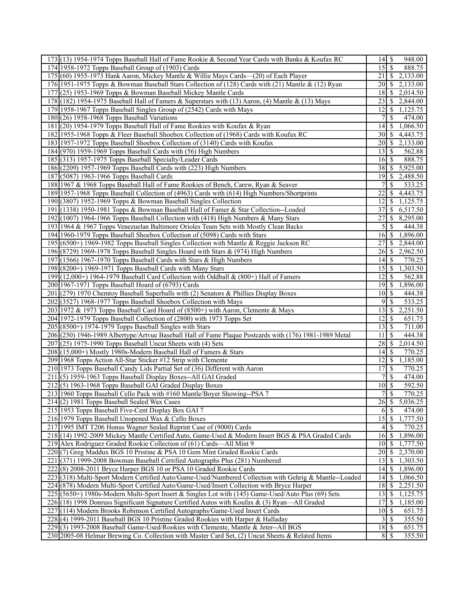| 173 (13) 1954-1974 Topps Baseball Hall of Fame Rookie & Second Year Cards with Banks & Koufax RC       | $14 \mid$ \$                | 948.00                    |
|--------------------------------------------------------------------------------------------------------|-----------------------------|---------------------------|
| 174 1958-1972 Topps Baseball Group of (1903) Cards                                                     | $15\overline{\smash{)}\,}$  | 888.75                    |
| 175 (60) 1955-1973 Hank Aaron, Mickey Mantle & Willie Mays Cards—(20) of Each Player                   | 21                          | $\mathbb{S}$<br>2,133.00  |
| 176 1951-1975 Topps & Bowman Baseball Stars Collection of (128) Cards with (21) Mantle & (12) Ryan     | <b>20</b>                   | \$<br>2,133.00            |
| 177 (25) 1953-1969 Topps & Bowman Baseball Mickey Mantle Cards                                         | 18                          | S<br>2,014.50             |
| 178 (182) 1954-1975 Baseball Hall of Famers & Superstars with (13) Aaron, (4) Mantle & (13) Mays       | $23$   \$                   | 2,844.00                  |
| 179 1958-1967 Topps Baseball Singles Group of (2542) Cards with Mays                                   | 12                          | 1,125.75<br>S             |
|                                                                                                        |                             |                           |
| $180(26)$ 1958-1968 Topps Baseball Variations                                                          |                             | S<br>474.00               |
| 181 (20) 1954-1979 Topps Baseball Hall of Fame Rookies with Koufax & Ryan                              | $14$ $\sqrt{5}$             | 1,066.50                  |
| 182 1955-1968 Topps & Fleer Baseball Shoebox Collection of (1968) Cards with Koufax RC                 | $30 \mid S$                 | 4,443.75                  |
| 183 1957-1972 Topps Baseball Shoebox Collection of (3140) Cards with Koufax                            | 201S                        | 2,133.00                  |
| 184 (970) 1959-1969 Topps Baseball Cards with (56) High Numbers                                        | $13$ $\bar{S}$              | 562.88                    |
| 185 (313) 1957-1975 Topps Baseball Specialty/Leader Cards                                              |                             | 888.75                    |
| 186 (2209) 1957-1969 Topps Baseball Cards with (223) High Numbers                                      | 38                          | 5,925.00<br><sup>\$</sup> |
| 187 (5087) 1963-1966 Topps Baseball Cards                                                              | 19 S                        | 2,488.50                  |
| 188 1967 & 1968 Topps Baseball Hall of Fame Rookies of Bench, Carew, Ryan & Seaver                     |                             | <sup>\$</sup><br>533.25   |
| 189 1957-1968 Topps Baseball Collection of (4963) Cards with (614) High Numbers/Shortprints            | 22                          | 4,443.75<br>S             |
| 190 (3807) 1952-1969 Topps & Bowman Baseball Singles Collection                                        | 12                          | 1,125.75<br>S             |
| 191 (1338) 1950-1981 Topps & Bowman Baseball Hall of Famer & Star Collection--Loaded                   | 37                          | 6,517.50<br>\$            |
| 192 (1007) 1964-1966 Topps Baseball Collection with (418) High Numbers & Many Stars                    | 27                          | 8,295.00<br><sup>\$</sup> |
| 193 1964 & 1967 Topps Venezuelan Baltimore Orioles Team Sets with Mostly Clean Backs                   | 5                           | S<br>444.38               |
|                                                                                                        |                             |                           |
| 194 1960-1979 Topps Baseball Shoebox Collection of (5098) Cards with Stars                             | 16I                         | \$<br>1,896.00            |
| 195 (6500+) 1969-1982 Topps Baseball Singles Collection with Mantle & Reggie Jackson RC                | 27                          | S<br>2,844.00             |
| 196 (8729) 1969-1978 Topps Baseball Singles Hoard with Stars & (974) High Numbers                      | 26                          | 2,962.50<br>\$            |
| 197 (1566) 1967-1970 Topps Baseball Cards with Stars & High Numbers                                    | 14 <sup>1</sup>             | 770.25<br>S               |
| $198(8200+) 1969-1971$ Topps Baseball Cards with Many Stars                                            |                             | 1,303.50                  |
| 199 (12,000+) 1964-1979 Baseball Card Collection with Oddball & (800+) Hall of Famers                  | 12                          | S<br>562.88               |
| 200 1967-1971 Topps Baseball Hoard of (6793) Cards                                                     | 19                          | 1,896.00<br><sup>\$</sup> |
| 201 (279) 1970 Chemtoy Baseball Superballs with (2) Senators & Phillies Display Boxes                  | $10 \mid S$                 | 444.38                    |
| 202 (3527) 1968-1977 Topps Baseball Shoebox Collection with Mays                                       | 9                           | $\overline{533.25}$<br>S  |
| 203 1972 & 1973 Topps Baseball Card Hoard of (8500+) with Aaron, Clemente & Mays                       | 13                          | 2,251.50<br>S             |
| 204 1972-1979 Topps Baseball Collection of (2800) with 1973 Topps Set                                  | 121S                        | 651.75                    |
| $205(8500+)$ 1974-1979 Topps Baseball Singles with Stars                                               | $13 \mid$ \$                | 711.00                    |
| 206 (250) 1946-1989 Albertype/Artvue Baseball Hall of Fame Plaque Postcards with (176) 1981-1989 Metal | 11                          | S<br>444.38               |
| $207(25)$ 1975-1990 Topps Baseball Uncut Sheets with (4) Sets                                          | 28                          | 2,014.50<br><sup>\$</sup> |
|                                                                                                        | 14                          | 770.25<br>S               |
| 208 (15,000+) Mostly 1980s-Modern Baseball Hall of Famers & Stars                                      |                             |                           |
| 209 1968 Topps Action All-Star Sticker #12 Strip with Clemente                                         | $12$   \$                   | 1,185.00                  |
| 210 1973 Topps Baseball Candy Lids Partial Set of (36) Different with Aaron                            |                             | 770.25                    |
| 211(5) 1959-1963 Topps Baseball Display Boxes--All GAI Graded                                          | $\overline{7}$              | \$<br>474.00              |
| $212(5)$ 1963-1968 Topps Baseball GAI Graded Display Boxes                                             | 10 <sup>1</sup>             | \$<br>592.50              |
| 213 1960 Topps Baseball Cello Pack with #160 Mantle/Boyer Showing--PSA 7                               | $7\vert$                    | \$<br>770.25              |
| $214(2)$ 1981 Topps Baseball Sealed Wax Cases                                                          | $26 \mid$ \$                | 5,036.25                  |
| 215 1953 Topps Baseball Five-Cent Display Box GAI 7                                                    | 61                          | \$<br>474.00              |
| 216 1979 Topps Baseball Unopened Wax & Cello Boxes                                                     | $15 \overline{\smash{)}\,}$ | 1,777.50                  |
| 217 1995 IMT T206 Honus Wagner Sealed Reprint Case of (9000) Cards                                     | 4 <sup>1</sup>              | \$<br>770.25              |
| 218 (14) 1992-2009 Mickey Mantle Certified Auto, Game-Used & Modern Insert BGS & PSA Graded Cards      | 16 <sup> </sup>             | 1,896.00<br>S             |
| 219 Alex Rodriguez Graded Rookie Collection of (61) Cards—All Mint 9                                   | $10$ $\sqrt{S}$             | 1,777.50                  |
| 220(7) Greg Maddux BGS 10 Pristine & PSA 10 Gem Mint Graded Rookie Cards                               |                             | 2,370.00                  |
| 221 (371) 1999-2008 Bowman Baseball Certified Autographs Plus (281) Numbered                           | 13 <sup>1</sup>             | <sup>\$</sup><br>1,303.50 |
| 222(8) 2008-2011 Bryce Harper BGS 10 or PSA 10 Graded Rookie Cards                                     | $14 \mid$ \$                | 1,896.00                  |
| 223 (318) Multi-Sport Modern Certified Auto/Game-Used/Numbered Collection with Gehrig & Mantle--Loaded | 14                          | \$<br>1,066.50            |
|                                                                                                        |                             |                           |
| 224 (878) Modern Multi-Sport Certified Auto/Game-Used/Insert Collection with Bryce Harper              | 18 <sup> </sup>             | S<br>2,251.50             |
| 225 (5650+) 1980s-Modern Multi-Sport Insert & Singles Lot with (145) Game-Used/Auto Plus (69) Sets     | 13                          | 1,125.75<br>\$            |
| 226 (18) 1998 Donruss Significant Signature Certified Autos with Koufax & (3) Ryan—All Graded          | 17                          | \$<br>1,185.00            |
| 227 (114) Modern Brooks Robinson Certified Autographs/Game-Used Insert Cards                           | $10$ $\sqrt{5}$             | 651.75                    |
| 228(4) 1999-2011 Baseball BGS 10 Pristine Graded Rookies with Harper & Halladay                        | $3\sqrt{5}$                 | 355.50                    |
|                                                                                                        |                             |                           |
| 229(3) 1993-2008 Baseball Game-Used/Rookies with Clemente, Mantle & Jeter--All BGS                     |                             | 651.75<br>355.50          |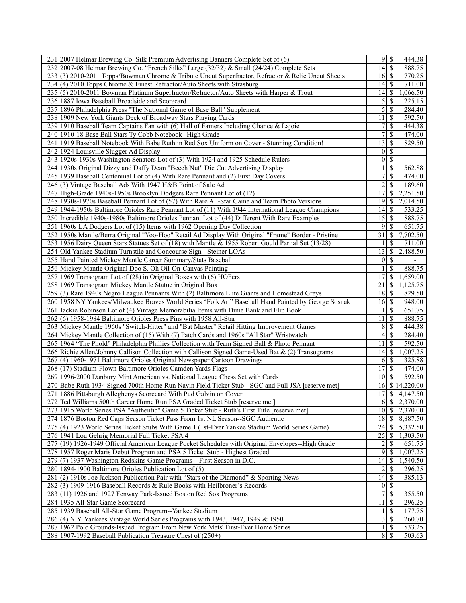| 231 2007 Helmar Brewing Co. Silk Premium Advertising Banners Complete Set of (6)                     | 95               |                           | 444.38                   |
|------------------------------------------------------------------------------------------------------|------------------|---------------------------|--------------------------|
| 232 2007-08 Helmar Brewing Co. "French Silks" Large (32/32) & Small (24/24) Complete Sets            | 14               | \$                        | 888.75                   |
| 233(3) 2010-2011 Topps/Bowman Chrome & Tribute Uncut Superfractor, Refractor & Relic Uncut Sheets    | $16 \mid S$      |                           | 770.25                   |
| 234(4) 2010 Topps Chrome & Finest Refractor/Auto Sheets with Strasburg                               | 14               | -S                        | 711.00                   |
| 235 (5) 2010-2011 Bowman Platinum Superfractor/Refractor/Auto Sheets with Harper & Trout             | 14               | -S                        | 1,066.50                 |
| 236 1887 Iowa Baseball Broadside and Scorecard                                                       | $\overline{5}$   | -S                        | 225.15                   |
| 237 1896 Philadelphia Press "The National Game of Base Ball" Supplement                              | 5                | \$                        | 284.40                   |
| 238 1909 New York Giants Deck of Broadway Stars Playing Cards                                        | 11               | <sup>\$</sup>             | 592.50                   |
|                                                                                                      | 7                | <sup>\$</sup>             |                          |
| 239 1910 Baseball Team Captains Fan with (6) Hall of Famers Including Chance & Lajoie                | 7                |                           | 444.38                   |
| 240 1910-18 Base Ball Stars Ty Cobb Notebook--High Grade                                             |                  | <sup>\$</sup>             | 474.00                   |
| 241   1919 Baseball Notebook With Babe Ruth in Red Sox Uniform on Cover - Stunning Condition!        | 13               | -S                        | 829.50                   |
| 242 1924 Louisville Slugger Ad Display                                                               | $\overline{0}$   | -\$                       | $\overline{\phantom{a}}$ |
| 243 1920s-1930s Washington Senators Lot of (3) With 1924 and 1925 Schedule Rulers                    | $\theta$         | \$                        | $\overline{\phantom{a}}$ |
| 244 1930s Original Dizzy and Daffy Dean "Beech Nut" Die Cut Advertising Display                      | 11               | <sup>\$</sup>             | 562.88                   |
| 245 1939 Baseball Centennial Lot of (4) With Rare Pennant and (2) First Day Covers                   | 7                | $\mathbf{\$}$             | 474.00                   |
| 246(3) Vintage Baseball Ads With 1947 H&B Point of Sale Ad                                           | 2                | \$                        | 189.60                   |
| 247 High-Grade 1940s-1950s Brooklyn Dodgers Rare Pennant Lot of (12)                                 | 17               | <sup>\$</sup>             | 2,251.50                 |
| 248 1930s-1970s Baseball Pennant Lot of (57) With Rare All-Star Game and Team Photo Versions         | 19               | -S                        | 2,014.50                 |
| 249 1944-1950s Baltimore Orioles Rare Pennant Lot of (11) With 1944 International League Champions   | 14               | $\mathcal{S}$             | 533.25                   |
| 250 Incredible 1940s-1980s Baltimore Orioles Pennant Lot of (44) Different With Rare Examples        | 15               | S                         | 888.75                   |
| 251 1960s LA Dodgers Lot of (15) Items with 1962 Opening Day Collection                              | 9                | $\mathbf{\$}$             | 651.75                   |
| 252 1950s Mantle/Berra Original "Yoo-Hoo" Retail Ad Display With Original "Frame" Border - Pristine! | 31               | \$                        | 7,702.50                 |
| 253 1956 Dairy Queen Stars Statues Set of (18) with Mantle & 1955 Robert Gould Partial Set (13/28)   | 11               | -S                        | 711.00                   |
| 254 Old Yankee Stadium Turnstile and Concourse Sign - Steiner LOAs                                   | 13               | \$                        | 2,488.50                 |
| 255 Hand Painted Mickey Mantle Career Summary/Stats Baseball                                         | $\theta$         | $\mathcal{S}$             |                          |
|                                                                                                      | 1                |                           |                          |
| 256 Mickey Mantle Original Doo S. Oh Oil-On-Canvas Painting                                          |                  | \$                        | 888.75                   |
| 257 1969 Transogram Lot of (28) in Original Boxes with (6) HOFers                                    | 17               | <sup>\$</sup>             | 1,659.00                 |
| 258 1969 Transogram Mickey Mantle Statue in Original Box                                             | 21               | -S                        | 1,125.75                 |
| 259(3) Rare 1940s Negro League Pennants With (2) Baltimore Elite Giants and Homestead Greys          | 18               | $\mathcal{S}$             | 829.50                   |
| 260 1958 NY Yankees/Milwaukee Braves World Series "Folk Art" Baseball Hand Painted by George Sosnak  | 16               | \$                        | 948.00                   |
| 261 Jackie Robinson Lot of (4) Vintage Memorabilia Items with Dime Bank and Flip Book                | 11               | - \$                      | 651.75                   |
| 262(6) 1958-1984 Baltimore Orioles Press Pins with 1958 All-Star                                     | 11               | -\$                       | 888.75                   |
| 263 Mickey Mantle 1960s "Switch-Hitter" and "Bat Master" Retail Hitting Improvement Games            | 8                | \$                        | 444.38                   |
| 264 Mickey Mantle Collection of (15) With (7) Patch Cards and 1960s "All Star" Wristwatch            | 4                | $\boldsymbol{\mathsf{S}}$ | 284.40                   |
| 265 1964 "The Phold" Philadelphia Phillies Collection with Team Signed Ball & Photo Pennant          | 11               | \$                        | 592.50                   |
| 266 Richie Allen/Johnny Callison Collection with Callison Signed Game-Used Bat & (2) Transograms     | 14               | -S                        | 1,007.25                 |
| 267(4) 1960-1971 Baltimore Orioles Original Newspaper Cartoon Drawings                               | 6                | - \$                      | 325.88                   |
| 268 (17) Stadium-Flown Baltimore Orioles Camden Yards Flags                                          | 17               | $\mathcal{S}$             | 474.00                   |
| 269 1996-2000 Danbury Mint American vs. National League Chess Set with Cards                         | 10               | l \$                      | 592.50                   |
| 270 Babe Ruth 1934 Signed 700th Home Run Navin Field Ticket Stub - SGC and Full JSA [reserve met]    | 16               |                           | \$14,220.00              |
| 271 1886 Pittsburgh Alleghenys Scorecard With Pud Galvin on Cover                                    | 17               | $\mathcal{S}$             | 4,147.50                 |
| 272 Ted Williams 500th Career Home Run PSA Graded Ticket Stub [reserve met]                          |                  |                           | $6 \mid $2,370.00$       |
| 273 1915 World Series PSA "Authentic" Game 5 Ticket Stub - Ruth's First Title [reserve met]          | 10               | $\sqrt{S}$                | 2,370.00                 |
| 274 1876 Boston Red Caps Season Ticket Pass From 1st NL Season--SGC Authentic                        | 18               | $\mathbb{S}$              | 8,887.50                 |
| 275 (4) 1923 World Series Ticket Stubs With Game 1 (1st-Ever Yankee Stadium World Series Game)       | 24               |                           | 5,332.50                 |
|                                                                                                      |                  | $\mathfrak{S}$            |                          |
| 276 1941 Lou Gehrig Memorial Full Ticket PSA 4                                                       | 25               | -S                        | 1,303.50                 |
| 277 (19) 1926-1949 Official American League Pocket Schedules with Original Envelopes--High Grade     | $\overline{c}$   | <sup>\$</sup>             | 651.75                   |
| 278 1957 Roger Maris Debut Program and PSA 5 Ticket Stub - Highest Graded                            | 9                | $\boldsymbol{\mathsf{S}}$ | 1,007.25                 |
| 279(7) 1937 Washington Redskins Game Programs—First Season in D.C.                                   | 14               | -S                        | 1,540.50                 |
| 280 1894-1900 Baltimore Orioles Publication Lot of (5)                                               | $\overline{2}$   | $\mathbf{\$}$             | 296.25                   |
| 281 (2) 1910s Joe Jackson Publication Pair with "Stars of the Diamond" & Sporting News               | 14               | $\mathcal{S}$             | 385.13                   |
| 282(3) 1909-1916 Baseball Records & Rule Books with Heilbroner's Records                             | $\boldsymbol{0}$ | -S                        |                          |
| 283 (11) 1926 and 1927 Fenway Park-Issued Boston Red Sox Programs                                    | 7                | $\mathbf{\$}$             | 355.50                   |
| 284 1935 All-Star Game Scorecard                                                                     | 11               | \$                        | 296.25                   |
| 285 1939 Baseball All-Star Game Program--Yankee Stadium                                              |                  | $\mathbf{\$}$             | 177.75                   |
| 286(4) N.Y. Yankees Vintage World Series Programs with 1943, 1947, 1949 & 1950                       | 3                | - \$                      | 260.70                   |
| 287 1962 Polo Grounds-Issued Program From New York Mets' First-Ever Home Series                      | 11               | $\mathbb{S}$              | 533.25                   |
| 288 1907-1992 Baseball Publication Treasure Chest of (250+)                                          | $8 \mid S$       |                           | 503.63                   |
|                                                                                                      |                  |                           |                          |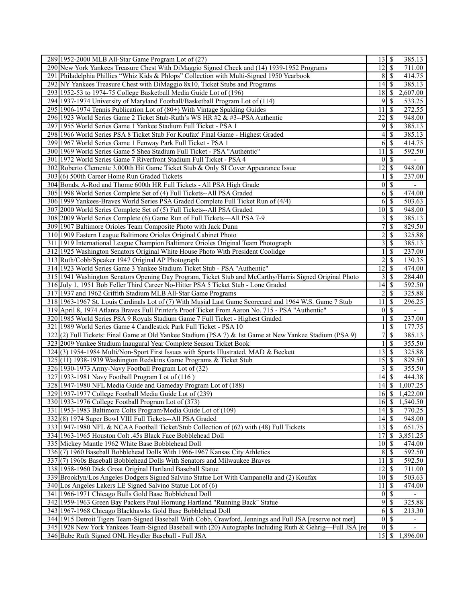| 289 1952-2000 MLB All-Star Game Program Lot of (27)                                                       | $13 \mid$ \$     | 385.13                                   |
|-----------------------------------------------------------------------------------------------------------|------------------|------------------------------------------|
| 290 New York Yankees Treasure Chest With DiMaggio Signed Check and (14) 1939-1952 Programs                | 12               | 711.00<br>-\$                            |
| 291 Philadelphia Phillies "Whiz Kids & Phlops" Collection with Multi-Signed 1950 Yearbook                 |                  | 414.75<br>$8$   $\sqrt{5}$               |
| 292 NY Yankees Treasure Chest with DiMaggio 8x10, Ticket Stubs and Programs                               | 4                | 385.13<br>-S                             |
| 293 1952-53 to 1974-75 College Basketball Media Guide Lot of (196)                                        | 18               | 2,607.00<br>S                            |
| 294 1937-1974 University of Maryland Football/Basketball Program Lot of (114)                             | 9                | -S<br>533.25                             |
| 295 1906-1974 Tennis Publication Lot of (80+) With Vintage Spalding Guides                                | 11               | 272.55<br>S                              |
| 296 1923 World Series Game 2 Ticket Stub-Ruth's WS HR #2 & #3--PSA Authentic                              | 22               | 948.00<br>S                              |
| 297 1955 World Series Game 1 Yankee Stadium Full Ticket - PSA 1                                           | 9                | 385.13<br>-\$                            |
| 298 1966 World Series PSA 8 Ticket Stub For Koufax' Final Game - Highest Graded                           | 4                | 385.13<br>S                              |
| 299 1967 World Series Game 1 Fenway Park Full Ticket - PSA 1                                              | 6                | \$<br>414.75                             |
|                                                                                                           | 11               | 592.50<br>-S                             |
| 300 1969 World Series Game 5 Shea Stadium Full Ticket - PSA "Authentic"                                   | $\boldsymbol{0}$ | $\mathcal{S}$                            |
| 301 1972 World Series Game 7 Riverfront Stadium Full Ticket - PSA 4                                       |                  |                                          |
| 302 Roberto Clemente 3,000th Hit Game Ticket Stub & Only SI Cover Appearance Issue                        | 12               | 948.00<br>S                              |
| 303 (6) 500th Career Home Run Graded Tickets                                                              |                  | \$<br>237.00                             |
| 304 Bonds, A-Rod and Thome 600th HR Full Tickets - All PSA High Grade                                     | $\boldsymbol{0}$ | $\mathbb{S}$<br>$\overline{\phantom{a}}$ |
| 305 1998 World Series Complete Set of (4) Full Tickets--All PSA Graded                                    | 6                | S<br>474.00                              |
| 306 1999 Yankees-Braves World Series PSA Graded Complete Full Ticket Run of (4/4)                         | 6                | -S<br>503.63                             |
| 307 2000 World Series Complete Set of (5) Full Tickets--All PSA Graded                                    | 10               | 948.00<br>-\$                            |
| 308 2009 World Series Complete (6) Game Run of Full Tickets—All PSA 7-9                                   | 3                | 385.13<br>-S                             |
| 309 1907 Baltimore Orioles Team Composite Photo with Jack Dunn                                            | 7                | <sup>\$</sup><br>829.50                  |
| 310 1909 Eastern League Baltimore Orioles Original Cabinet Photo                                          | $\overline{c}$   | 325.88<br>\$                             |
| 311 1919 International League Champion Baltimore Orioles Original Team Photograph                         | 3                | \$<br>385.13                             |
| 312 1925 Washington Senators Original White House Photo With President Coolidge                           |                  | \$<br>237.00                             |
| 313 Ruth/Cobb/Speaker 1947 Original AP Photograph                                                         | 2                | \$<br>130.35                             |
| 314 1923 World Series Game 3 Yankee Stadium Ticket Stub - PSA "Authentic"                                 | 12               | $\mathbf{\$}$<br>474.00                  |
| 315 1941 Washington Senators Opening Day Program, Ticket Stub and McCarthy/Harris Signed Original Photo   | 3                | 284.40<br>S                              |
| 316 July 1, 1951 Bob Feller Third Career No-Hitter PSA 5 Ticket Stub - Lone Graded                        | 14               | 592.50<br>S                              |
| 317 1937 and 1962 Griffith Stadium MLB All-Star Game Programs                                             | $\overline{2}$   | S<br>325.88                              |
| 318 1963-1967 St. Louis Cardinals Lot of (7) With Musial Last Game Scorecard and 1964 W.S. Game 7 Stub    | 11               | 296.25<br>S                              |
| 319 April 8, 1974 Atlanta Braves Full Printer's Proof Ticket From Aaron No. 715 - PSA "Authentic"         | $\boldsymbol{0}$ | $\mathbb{S}$<br>$\overline{\phantom{a}}$ |
| 320 1985 World Series PSA 9 Royals Stadium Game 7 Full Ticket - Highest Graded                            |                  | <sup>\$</sup><br>237.00                  |
| 321 1989 World Series Game 4 Candlestick Park Full Ticket - PSA 10                                        |                  | \$<br>177.75                             |
| 322(2) Full Tickets: Final Game at Old Yankee Stadium (PSA 7) & 1st Game at New Yankee Stadium (PSA 9)    | 7                | \$<br>385.13                             |
| 323 2009 Yankee Stadium Inaugural Year Complete Season Ticket Book                                        |                  | 355.50<br>-S                             |
| 324 (3) 1954-1984 Multi/Non-Sport First Issues with Sports Illustrated, MAD & Beckett                     | 13               | 325.88<br>-\$                            |
| 325 (11) 1938-1939 Washington Redskins Game Programs & Ticket Stub                                        | 15               | 829.50<br>l S                            |
| 326 1930-1973 Army-Navy Football Program Lot of (32)                                                      | 3                | 355.50<br>  S                            |
| 327 1933-1981 Navy Football Program Lot of (116)                                                          | 14               | <sup>\$</sup><br>444.38                  |
| 328 1947-1980 NFL Media Guide and Gameday Program Lot of (188)                                            | 14               | 1,007.25<br>\$                           |
| 329 1937-1977 College Football Media Guide Lot of (239)                                                   | $16 \mid$ \$     | 1,422.00                                 |
| 330 1933-1976 College Football Program Lot of (373)                                                       | $16 \mid$ \$     | 1,540.50                                 |
| 331 1953-1983 Baltimore Colts Program/Media Guide Lot of (109)                                            | 14               | $\mathcal{S}$<br>770.25                  |
| 332(8) 1974 Super Bowl VIII Full Tickets--All PSA Graded                                                  | $14 \mid$ \$     | 948.00                                   |
| 333 1947-1980 NFL & NCAA Football Ticket/Stub Collection of (62) with (48) Full Tickets                   | $13\overline{3}$ | 651.75                                   |
| 334 1963-1965 Houston Colt .45s Black Face Bobblehead Doll                                                | 17               | 3,851.25<br>-S                           |
| 335 Mickey Mantle 1962 White Base Bobblehead Doll                                                         |                  | 474.00                                   |
| 336(7) 1960 Baseball Bobblehead Dolls With 1966-1967 Kansas City Athletics                                | 8                | 592.50<br>-\$                            |
| 337(7) 1960s Baseball Bobblehead Dolls With Senators and Milwaukee Braves                                 | 11               | 592.50<br>\$                             |
| 338 1958-1960 Dick Groat Original Hartland Baseball Statue                                                | 12               | 711.00<br>l \$                           |
| 339 Brooklyn/Los Angeles Dodgers Signed Salvino Statue Lot With Campanella and (2) Koufax                 | $10 \mid$ \$     | 503.63                                   |
| 340 Los Angeles Lakers LE Signed Salvino Statue Lot of (6)                                                | 11               | 474.00<br>-S                             |
| 341 1966-1971 Chicago Bulls Gold Base Bobblehead Doll                                                     | $0\vert S$       |                                          |
| 342 1959-1963 Green Bay Packers Paul Hornung Hartland "Running Back" Statue                               | 9                | \$<br>325.88                             |
| 343 1967-1968 Chicago Blackhawks Gold Base Bobblehead Doll                                                | 6                | 213.30<br>S                              |
| 344 1915 Detroit Tigers Team-Signed Baseball With Cobb, Crawford, Jennings and Full JSA [reserve not met] | $0\vert S$       | $\overline{\phantom{a}}$                 |
| 345 1928 New York Yankees Team-Signed Baseball with (20) Autographs Including Ruth & Gehrig-Full JSA [re  | $\vert 0 \vert$  | -S<br>$\overline{\phantom{a}}$           |
| 346 Babe Ruth Signed ONL Heydler Baseball - Full JSA                                                      |                  | 1,896.00                                 |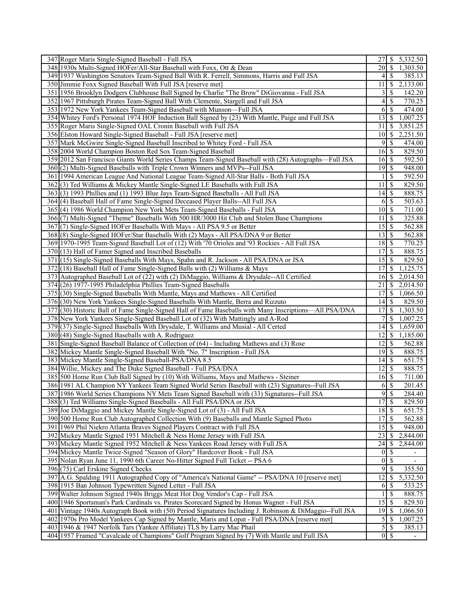| 347 Roger Maris Single-Signed Baseball - Full JSA                                                                                                                      | $27$ $\frac{\text{}}{\text{}}$     | 5,332.50                  |
|------------------------------------------------------------------------------------------------------------------------------------------------------------------------|------------------------------------|---------------------------|
| 348 1930s Multi-Signed HOFer/All-Star Baseball with Foxx, Ott & Dean                                                                                                   | $20 \mid S$                        | 1,303.50                  |
| 349 1937 Washington Senators Team-Signed Ball With R. Ferrell, Simmons, Harris and Full JSA                                                                            | 41                                 | <sup>\$</sup><br>385.13   |
| 350 Jimmie Foxx Signed Baseball With Full JSA [reserve met]                                                                                                            | 11                                 | 2,133.00<br>S             |
| 351   1956 Brooklyn Dodgers Clubhouse Ball Signed by Charlie "The Brow" DiGiovanna - Full JSA                                                                          | $\overline{3}$                     | S<br>142.20               |
| 352 1967 Pittsburgh Pirates Team-Signed Ball With Clemente, Stargell and Full JSA                                                                                      | 4                                  | 770.25<br>S               |
| 353 1972 New York Yankees Team-Signed Baseball with Munson—Full JSA                                                                                                    | 61                                 | <sup>\$</sup><br>474.00   |
| 354 Whitey Ford's Personal 1974 HOF Induction Ball Signed by (23) With Mantle, Paige and Full JSA                                                                      | $13 \mid$ \$                       | 1,007.25                  |
| 355 Roger Maris Single-Signed OAL Cronin Baseball with Full JSA                                                                                                        | 31                                 | <sup>\$</sup><br>3,851.25 |
| 356 Elston Howard Single-Signed Baseball - Full JSA [reserve met]                                                                                                      | 10                                 | \$<br>2,251.50            |
| 357 Mark McGwire Single-Signed Baseball Inscribed to Whitey Ford - Full JSA                                                                                            | 9                                  | <sup>\$</sup><br>474.00   |
| 358 2004 World Champion Boston Red Sox Team-Signed Baseball                                                                                                            |                                    |                           |
| 359 2012 San Francisco Giants World Series Champs Team-Signed Baseball with (28) Autographs—Full JSA                                                                   | $16 \mid$ \$<br>16S                | 829.50<br>592.50          |
|                                                                                                                                                                        |                                    |                           |
| 360(2) Multi-Signed Baseballs with Triple Crown Winners and MVPs--Full JSA                                                                                             | $19$ $\sqrt{5}$                    | 948.00                    |
| 361 1994 American League And National League Team-Signed All-Star Balls - Both Full JSA                                                                                |                                    | <sup>\$</sup><br>592.50   |
| 362(3) Ted Williams & Mickey Mantle Single-Signed LE Baseballs with Full JSA                                                                                           | 11                                 | \$<br>829.50              |
| 363(3) 1993 Phillies and (1) 1993 Blue Jays Team-Signed Baseballs - All Full JSA                                                                                       |                                    | 888.75                    |
| 364(4) Baseball Hall of Fame Single-Signed Deceased Player Balls--All Full JSA                                                                                         | 6                                  | \$<br>503.63              |
| 365(4) 1986 World Champion New York Mets Team-Signed Baseballs - Full JSA                                                                                              |                                    | 711.00                    |
| 366 (7) Multi-Signed "Theme" Baseballs With 500 HR/3000 Hit Club and Stolen Base Champions                                                                             | 11                                 | \$<br>325.88              |
| 367(7) Single-Signed HOFer Baseballs With Mays - All PSA 9.5 or Better                                                                                                 | 15                                 | <sup>\$</sup><br>562.88   |
| 368(8) Single-Signed HOFer/Star Baseballs With (2) Mays - All PSA/DNA 9 or Better                                                                                      | 13 <sup>1</sup>                    | \$<br>562.88              |
| 369 1970-1995 Team-Signed Baseball Lot of (12) With '70 Orioles and '93 Rockies - All Full JSA                                                                         | 18                                 | 770.25<br>  \$            |
| 370 (13) Hall of Famer Signed and Inscribed Baseballs                                                                                                                  | 17                                 | $\mathcal{S}$<br>888.75   |
| 371 (15) Single-Signed Baseballs With Mays, Spahn and R. Jackson - All PSA/DNA or JSA                                                                                  | 15 <sup>1</sup>                    | 829.50<br>S               |
| 372(18) Baseball Hall of Fame Single-Signed Balls with (2) Williams & Mays                                                                                             |                                    | 1,125.75                  |
| 373 Autographed Baseball Lot of (22) with (2) DiMaggio, Williams & Drysdale--All Certified                                                                             | 16 <sup> </sup>                    | \$<br>2,014.50            |
| 374 (26) 1977-1995 Philadelphia Phillies Team-Signed Baseballs                                                                                                         | 21                                 | 2,014.50<br>\$            |
| 375 (30) Single-Signed Baseballs With Mantle, Mays and Mathews - All Certified                                                                                         | 17                                 | \$<br>1,066.50            |
| 376(30) New York Yankees Single-Signed Baseballs With Mantle, Berra and Rizzuto                                                                                        | $14$ $\sqrt{5}$                    | 829.50                    |
| 377 (30) Historic Ball of Fame Single-Signed Hall of Fame Baseballs with Many Inscriptions—All PSA/DNA                                                                 | 17                                 | S<br>1,303.50             |
| 378 New York Yankees Single-Signed Baseball Lot of (32) With Mattingly and A-Rod                                                                                       | 7                                  | <sup>\$</sup><br>1,007.25 |
| 379 (37) Single-Signed Baseballs With Drysdale, T. Williams and Musial - All Certed                                                                                    | 14                                 | \$<br>1,659.00            |
| 380(48) Single-Signed Baseballs with A. Rodriguez                                                                                                                      | 12                                 | 1,185.00<br>\$            |
| 381 Single-Signed Baseball Balance of Collection of (64) - Including Mathews and (3) Rose                                                                              | $12$   \$                          | 562.88                    |
| 382 Mickey Mantle Single-Signed Baseball With "No. 7" Inscription - Full JSA                                                                                           | 19                                 | 888.75<br>  \$            |
| 383 Mickey Mantle Single-Signed Baseball-PSA/DNA 8.5                                                                                                                   | $14$ $\sqrt{5}$                    | $\overline{651}.75$       |
| 384 Willie, Mickey and The Duke Signed Baseball - Full PSA/DNA                                                                                                         | $12$   \$                          | 888.75                    |
| 385 500 Home Run Club Ball Signed by (10) With Williams, Mays and Mathews - Steiner                                                                                    | $16 \mid$ \$                       | 711.00                    |
| 386 1981 AL Champion NY Yankees Team Signed World Series Baseball with (23) Signatures--Full JSA                                                                       | 6                                  | \$<br>201.45              |
| 387 1986 World Series Champions NY Mets Team Signed Baseball with (33) Signatures--Full JSA                                                                            | 9                                  | \$<br>284.40              |
| 388 (3) Ted Williams Single-Signed Baseballs - All Full PSA/DNA or JSA                                                                                                 | 17S                                | 829.50                    |
| 389 Joe DiMaggio and Mickey Mantle Single-Signed Lot of (3) - All Full JSA                                                                                             | $18\overline{3}$                   | 651.75                    |
| 390 500 Home Run Club Autographed Collection With (9) Baseballs and Mantle Signed Photo                                                                                |                                    | 562.88                    |
| 391 1969 Phil Niekro Atlanta Braves Signed Players Contract with Full JSA                                                                                              | 15                                 | \$<br>948.00              |
| 392 Mickey Mantle Signed 1951 Mitchell & Ness Home Jersey with Full JSA                                                                                                | 23                                 | 2,844.00<br>S             |
| 393 Mickey Mantle Signed 1952 Mitchell & Ness Yankees Road Jersey with Full JSA                                                                                        | 24                                 | S<br>2,844.00             |
| 394 Mickey Mantle Twice-Signed "Season of Glory" Hardcover Book - Full JSA                                                                                             | $0 \mid \mathsf{S}$                |                           |
| 395 Nolan Ryan June 11, 1990 6th Career No-Hitter Signed Full Ticket -- PSA 6                                                                                          |                                    | $0\vert\$                 |
| 396 (75) Carl Erskine Signed Checks                                                                                                                                    | 9 <sup>1</sup>                     | <sup>\$</sup><br>355.50   |
| 397 A.G. Spalding 1911 Autographed Copy of "America's National Game" -- PSA/DNA 10 [reserve met]                                                                       | 12                                 | 5,332.50<br>\$            |
| 398 1915 Ban Johnson Typewritten Signed Letter - Full JSA                                                                                                              |                                    |                           |
|                                                                                                                                                                        | 6                                  | <sup>\$</sup><br>533.25   |
| 399 Walter Johnson Signed 1940s Briggs Meat Hot Dog Vendor's Cap - Full JSA                                                                                            |                                    | 888.75<br>\$              |
| 400 1946 Sportsman's Park Cardinals vs. Pirates Scorecard Signed by Honus Wagner - Full JSA                                                                            | 15                                 | \$<br>829.50              |
| 401 Vintage 1940s Autograph Book with (50) Period Signatures Including J. Robinson & DiMaggio--Full JSA                                                                |                                    | 1,066.50                  |
| 402 1970s Pro Model Yankees Cap Signed by Mantle, Maris and Lopat - Full PSA/DNA [reserve met]                                                                         | $\mathfrak{S}$                     | <sup>\$</sup><br>1,007.25 |
| 403 1946 & 1947 Norfolk Tars (Yankee Affiliate) TLS by Larry Mac Phail<br>404 1957 Framed "Cavalcade of Champions" Golf Program Signed by (7) With Mantle and Full JSA | $\overline{5}$<br>$\overline{0 S}$ | \$<br>385.13              |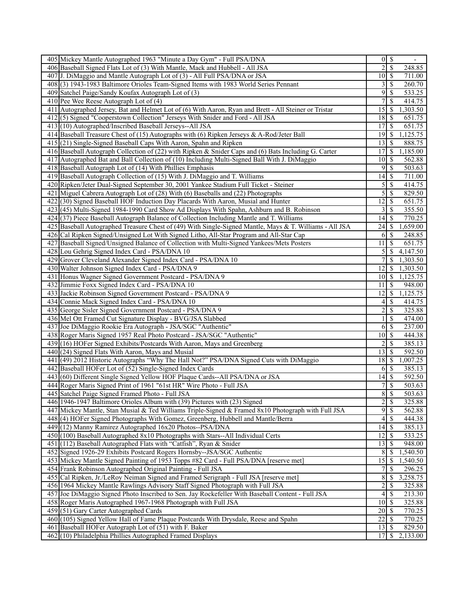| 405 Mickey Mantle Autographed 1963 "Minute a Day Gym" - Full PSA/DNA                                    |                             | $0 \mid S$                 |
|---------------------------------------------------------------------------------------------------------|-----------------------------|----------------------------|
| 406 Baseball Signed Flats Lot of (3) With Mantle, Mack and Hubbell - All JSA                            | $\overline{2}$              | \$<br>248.85               |
| 407 J. DiMaggio and Mantle Autograph Lot of (3) - All Full PSA/DNA or JSA                               | $10$   \$                   | 711.00                     |
| 408(3) 1943-1983 Baltimore Orioles Team-Signed Items with 1983 World Series Pennant                     | 3 <sup>1</sup>              | 260.70<br>S                |
| 409 Satchel Paige/Sandy Koufax Autograph Lot of (3)                                                     | 9                           | 533.25<br>S                |
| 410 Pee Wee Reese Autograph Lot of $(4)$                                                                | 7                           | \$<br>414.75               |
| 411 Autographed Jersey, Bat and Helmet Lot of (6) With Aaron, Ryan and Brett - All Steiner or Tristar   | 15                          | 1,303.50<br>S              |
| 412(5) Signed "Cooperstown Collection" Jerseys With Snider and Ford - All JSA                           | $18$   \$                   | 651.75                     |
| 413 (10) Autographed/Inscribed Baseball Jerseys--All JSA                                                |                             | 651.75                     |
| 414 Baseball Treasure Chest of (15) Autographs with (6) Ripken Jerseys & A-Rod/Jeter Ball               | 19                          | l \$<br>1,125.75           |
| 415(21) Single-Signed Baseball Caps With Aaron, Spahn and Ripken                                        | 13 <sup>1</sup>             | \$<br>888.75               |
| 416 Baseball Autograph Collection of (22) with Ripken & Snider Caps and (6) Bats Including G. Carter    | 17                          | \$<br>1,185.00             |
| 417 Autographed Bat and Ball Collection of (10) Including Multi-Signed Ball With J. DiMaggio            |                             | 562.88                     |
| 418 Baseball Autograph Lot of (14) With Phillies Emphasis                                               | $\overline{9}$              | \$<br>503.63               |
| 419 Baseball Autograph Collection of (15) With J. DiMaggio and T. Williams                              | $14 \overline{\smash{)}\,}$ | 711.00                     |
| 420 Ripken/Jeter Dual-Signed September 30, 2001 Yankee Stadium Full Ticket - Steiner                    |                             | 414.75                     |
| 421 Miguel Cabrera Autograph Lot of (28) With (6) Baseballs and (22) Photographs                        | $\mathfrak{S}$              | 829.50<br>\$               |
| 422(30) Signed Baseball HOF Induction Day Placards With Aaron, Musial and Hunter                        | 12                          | 651.75<br>S                |
| 423 (45) Multi-Signed 1984-1990 Card Show Ad Displays With Spahn, Ashburn and B. Robinson               | 3 <sup>1</sup>              | <sup>\$</sup><br>355.50    |
| 424 (37) Piece Baseball Autograph Balance of Collection Including Mantle and T. Williams                | 14                          | 770.25<br>S                |
| 425 Baseball Autographed Treasure Chest of (49) With Single-Signed Mantle, Mays & T. Williams - All JSA |                             | 1,659.00                   |
| 426 Cal Ripken Signed/Unsigned Lot With Signed Litho, All-Star Program and All-Star Cap                 | 6                           | \$<br>248.85               |
| 427 Baseball Signed/Unsigned Balance of Collection with Multi-Signed Yankees/Mets Posters               | 11                          | S<br>651.75                |
| 428 Lou Gehrig Signed Index Card - PSA/DNA 10                                                           | $\mathfrak{S}$              | 4,147.50<br>S              |
| 429 Grover Cleveland Alexander Signed Index Card - PSA/DNA 10                                           | $\overline{7}$              | <sup>\$</sup><br>1,303.50  |
| 430 Walter Johnson Signed Index Card - PSA/DNA 9                                                        | 12                          | 1,303.50<br><sup>\$</sup>  |
| 431 Honus Wagner Signed Government Postcard - PSA/DNA 9                                                 |                             | 1,125.75                   |
| 432 Jimmie Foxx Signed Index Card - PSA/DNA 10                                                          | 11                          | <sup>\$</sup><br>948.00    |
| 433 Jackie Robinson Signed Government Postcard - PSA/DNA 9                                              | 12                          | 1,125.75<br>S              |
| 434 Connie Mack Signed Index Card - PSA/DNA 10                                                          | $4\vert$                    | S<br>414.75                |
| 435 George Sisler Signed Government Postcard - PSA/DNA 9                                                | $\overline{\mathbf{c}}$     | 325.88<br>\$               |
| 436 Mel Ott Framed Cut Signature Display - BVG/JSA Slabbed                                              | 1                           | \$<br>474.00               |
| 437 Joe DiMaggio Rookie Era Autograph - JSA/SGC "Authentic"                                             | 6                           | l \$<br>237.00             |
| 438 Roger Maris Signed 1957 Real Photo Postcard - JSA/SGC "Authentic"                                   | 10 <sup> </sup>             | \$<br>444.38               |
| 439 (16) HOFer Signed Exhibits/Postcards With Aaron, Mays and Greenberg                                 | 2                           | 385.13<br>S                |
| 440 (24) Signed Flats With Aaron, Mays and Musial                                                       |                             | 592.50                     |
| 441 (49) 2012 Historic Autographs "Why The Hall Not?" PSA/DNA Signed Cuts with DiMaggio                 | $\overline{1}8$ \$          | 1,007.25                   |
| 442 Baseball HOFer Lot of (52) Single-Signed Index Cards                                                |                             | 385.13<br>$6\sqrt{5}$      |
| 443 (60) Different Single Signed Yellow HOF Plaque Cards--All PSA/DNA or JSA                            | 14                          | <sup>\$</sup><br>592.50    |
| 444 Roger Maris Signed Print of 1961 "61st HR" Wire Photo - Full JSA                                    | $7\sqrt{ }$                 | $\overline{\$}$<br>503.63  |
| 445 Satchel Paige Signed Framed Photo - Full JSA                                                        | $\overline{8}$              | \$<br>503.63               |
| 446 1946-1947 Baltimore Orioles Album with (39) Pictures with (23) Signed                               | $\overline{2}$              | <sup>\$</sup><br>325.88    |
| 447 Mickey Mantle, Stan Musial & Ted Williams Triple-Signed & Framed 8x10 Photograph with Full JSA      | $\overline{9}$              | \$<br>562.88               |
| 448 (4) HOFer Signed Photographs With Gomez, Greenberg, Hubbell and Mantle/Berra                        |                             | $4$ \ $\sqrt{3}$<br>444.38 |
| 449 (12) Manny Ramirez Autographed 16x20 Photos--PSA/DNA                                                | 4                           | 385.13<br>S                |
| 450(100) Baseball Autographed 8x10 Photographs with Stars--All Individual Certs                         | 12                          | 533.25<br>S                |
| 451 (112) Baseball Autographed Flats with "Catfish", Ryan & Snider                                      | 13                          | 948.00<br>S                |
| 452 Signed 1926-29 Exhibits Postcard Rogers Hornsby--JSA/SGC Authentic                                  | 8                           | 1,540.50<br>S              |
| 453 Mickey Mantle Signed Painting of 1953 Topps #82 Card - Full PSA/DNA [reserve met]                   | 15                          | \$<br>1,540.50             |
| 454 Frank Robinson Autographed Original Painting - Full JSA                                             | 7 <sup>1</sup>              | \$<br>296.25               |
| 455 Cal Ripken, Jr./LeRoy Neiman Signed and Framed Serigraph - Full JSA [reserve met]                   | 8                           | <sup>\$</sup><br>3,258.75  |
| 456 1964 Mickey Mantle Rawlings Advisory Staff Signed Photograph with Full JSA                          | $\overline{2}$              | \$<br>325.88               |
| 457 Joe DiMaggio Signed Photo Inscribed to Sen. Jay Rockefeller With Baseball Content - Full JSA        | $\overline{4}$              | S<br>213.30                |
| 458 Roger Maris Autographed 1967-1968 Photograph with Full JSA                                          |                             | 325.88                     |
| 459 (51) Gary Carter Autographed Cards                                                                  | $20$   \$                   | 770.25                     |
| 460 (105) Signed Yellow Hall of Fame Plaque Postcards With Drysdale, Reese and Spahn                    | $\overline{22}$             | 770.25<br>  S              |
| 461 Baseball HOFer Autograph Lot of (51) with F. Baker                                                  | 13                          | 829.50<br>S                |
| 462 (10) Philadelphia Phillies Autographed Framed Displays                                              | 17 <sup>1</sup>             | S<br>2,133.00              |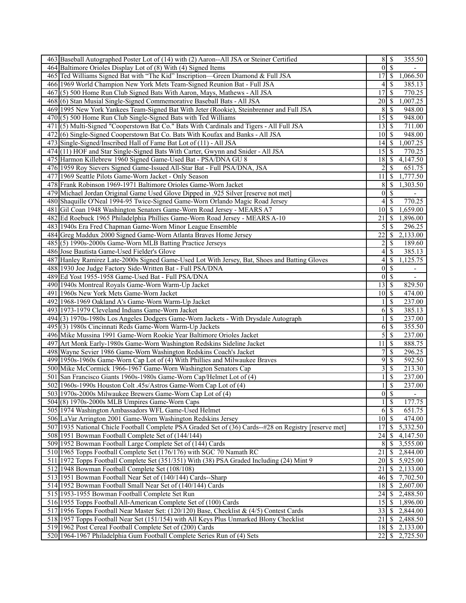| 463 Baseball Autographed Poster Lot of (14) with (2) Aaron--All JSA or Steiner Certified              | $8 \mid S$       | 355.50                                    |
|-------------------------------------------------------------------------------------------------------|------------------|-------------------------------------------|
| 464 Baltimore Orioles Display Lot of (8) With (4) Signed Items                                        | $\theta$         | $\mathcal{S}$                             |
| 465 Ted Williams Signed Bat with "The Kid" Inscription—Green Diamond & Full JSA                       | 17               | 1,066.50<br>-S                            |
| 466 1969 World Champion New York Mets Team-Signed Reunion Bat - Full JSA                              | 4                | 385.13<br>-S                              |
| 467(5) 500 Home Run Club Signed Bats With Aaron, Mays, Mathews - All JSA                              | 17               | $\mathcal{S}$<br>770.25                   |
| 468(6) Stan Musial Single-Signed Commemorative Baseball Bats - All JSA                                | 20               | 1,007.25<br>-S                            |
| 469 1995 New York Yankees Team-Signed Bat With Jeter (Rookie), Steinbrenner and Full JSA              | 8                | 948.00<br>-S                              |
| $470(5)$ 500 Home Run Club Single-Signed Bats with Ted Williams                                       | $\overline{15}$  | S<br>948.00                               |
| 471 (5) Multi-Signed "Cooperstown Bat Co." Bats With Cardinals and Tigers - All Full JSA              | 13               | \$<br>711.00                              |
| 472(6) Single-Signed Cooperstown Bat Co. Bats With Koufax and Banks - All JSA                         | 10               | -\$<br>948.00                             |
| 473 Single-Signed/Inscribed Hall of Fame Bat Lot of (11) - All JSA                                    | 14               | S<br>1,007.25                             |
| 474(11) HOF and Star Single-Signed Bats With Carter, Gwynn and Snider - All JSA                       | 15               | 770.25<br>\$                              |
| 475 Harmon Killebrew 1960 Signed Game-Used Bat - PSA/DNA GU 8                                         | 18               | 4,147.50<br>-S                            |
| 476 1959 Roy Sievers Signed Game-Issued All-Star Bat - Full PSA/DNA, JSA                              | $\overline{c}$   | -\$<br>651.75                             |
| 477 1969 Seattle Pilots Game-Worn Jacket - Only Season                                                | 11               | \$<br>1,777.50                            |
|                                                                                                       |                  |                                           |
| 478 Frank Robinson 1969-1971 Baltimore Orioles Game-Worn Jacket                                       | 8                | -\$<br>1,303.50                           |
| 479 Michael Jordan Original Game Used Glove Dipped in .925 Silver [reserve not met]                   | $\boldsymbol{0}$ | $\mathbb{S}$                              |
| 480 Shaquille O'Neal 1994-95 Twice-Signed Game-Worn Orlando Magic Road Jersey                         | 4                | 770.25<br>-\$                             |
| 481 Gil Coan 1948 Washington Senators Game-Worn Road Jersey - MEARS A7                                | 10               | -\$<br>1,659.00                           |
| 482 Ed Roebuck 1965 Philadelphia Phillies Game-Worn Road Jersey - MEARS A-10                          | 21               | 1,896.00<br>  \$                          |
| 483 1940s Era Fred Chapman Game-Worn Minor League Ensemble                                            | 5                | <sup>\$</sup><br>296.25                   |
| 484 Greg Maddux 2000 Signed Game-Worn Atlanta Braves Home Jersey                                      | 22               | 2,133.00<br>-S                            |
| 485(5) 1990s-2000s Game-Worn MLB Batting Practice Jerseys                                             | $\overline{c}$   | $\mathcal{S}$<br>189.60                   |
| 486 Jose Bautista Game-Used Fielder's Glove                                                           | 4                | \$<br>385.13                              |
| 487 Hanley Ramirez Late-2000s Signed Game-Used Lot With Jersey, Bat, Shoes and Batting Gloves         | 4                | \$<br>1,125.75                            |
| 488 1930 Joe Judge Factory Side-Written Bat - Full PSA/DNA                                            | $\boldsymbol{0}$ | $\overline{\mathcal{S}}$<br>ä,            |
| 489 Ed Yost 1955-1958 Game-Used Bat - Full PSA/DNA                                                    | $\boldsymbol{0}$ | $\mathcal{S}$<br>$\overline{\phantom{a}}$ |
| 490 1940s Montreal Royals Game-Worn Warm-Up Jacket                                                    | 13               | -\$<br>829.50                             |
| 491 1960s New York Mets Game-Worn Jacket                                                              | 10               | - \$<br>474.00                            |
| 492 1968-1969 Oakland A's Game-Worn Warm-Up Jacket                                                    |                  | $\mathcal{S}$<br>237.00                   |
| 493 1973-1979 Cleveland Indians Game-Worn Jacket                                                      | 6                | 385.13<br>\$                              |
| 494 (3) 1970s-1980s Los Angeles Dodgers Game-Worn Jackets - With Drysdale Autograph                   |                  | <sup>\$</sup><br>237.00                   |
| 495 (3) 1980s Cincinnati Reds Game-Worn Warm-Up Jackets                                               | 6                | $\mathcal{S}$<br>355.50                   |
| 496 Mike Mussina 1991 Game-Worn Rookie Year Baltimore Orioles Jacket                                  | 5                | \$<br>237.00                              |
| 497 Art Monk Early-1980s Game-Worn Washington Redskins Sideline Jacket                                | 11               | -\$<br>888.75                             |
| 498 Wayne Sevier 1986 Game-Worn Washington Redskins Coach's Jacket                                    | 7                | \$<br>296.25                              |
| 499 1950s-1960s Game-Worn Cap Lot of (4) With Phillies and Milwaukee Braves                           | 9                | 592.50<br>-\$                             |
| 500 Mike McCormick 1966-1967 Game-Worn Washington Senators Cap                                        | 3                | -\$<br>213.30                             |
| 501 San Francisco Giants 1960s-1980s Game-Worn Cap/Helmet Lot of (4)                                  |                  | \$<br>237.00                              |
| 502 1960s-1990s Houston Colt .45s/Astros Game-Worn Cap Lot of (4)                                     | 1                | \$<br>237.00                              |
| 503 1970s-2000s Milwaukee Brewers Game-Worn Cap Lot of (4)                                            | $\overline{0}$   | <sup>\$</sup><br>$\overline{\phantom{a}}$ |
| 504 (8) 1970s-2000s MLB Umpires Game-Worn Caps                                                        | $1 \mid$ \$      | 177.75                                    |
| 505 1974 Washington Ambassadors WFL Game-Used Helmet                                                  | 6                | $\overline{\mathcal{S}}$<br>651.75        |
| 506 LaVar Arrington 2001 Game-Worn Washington Redskins Jersey                                         | $10\vert S$      | $\overline{474.00}$                       |
| 507 1935 National Chicle Football Complete PSA Graded Set of (36) Cards-#28 on Registry [reserve met] | 17               | $\overline{5,332.50}$<br>$\mathcal{S}$    |
| 508 1951 Bowman Football Complete Set of (144/144)                                                    | 24               | 4,147.50<br>-S                            |
| 509 1952 Bowman Football Large Complete Set of (144) Cards                                            | 8                | -\$<br>3,555.00                           |
| 510 1965 Topps Football Complete Set (176/176) with SGC 70 Namath RC                                  | 21               | 2,844.00<br>-\$                           |
| 511 1972 Topps Football Complete Set (351/351) With (38) PSA Graded Including (24) Mint 9             | 20               | 5,925.00<br>-S                            |
| 512 1948 Bowman Football Complete Set (108/108)                                                       | 21               | 2,133.00<br>-S                            |
| 513 1951 Bowman Football Near Set of (140/144) Cards--Sharp                                           | 46               | - \$<br>7,702.50                          |
|                                                                                                       | 18               | 2,607.00                                  |
| 514 1952 Bowman Football Small Near Set of (140/144) Cards                                            |                  | -\$                                       |
| 515 1953-1955 Bowman Football Complete Set Run                                                        | 24               | 2,488.50<br>-\$                           |
| 516 1955 Topps Football All-American Complete Set of (100) Cards                                      | 15               | $\mathcal{S}$<br>1,896.00                 |
| 517 1956 Topps Football Near Master Set: (120/120) Base, Checklist & (4/5) Contest Cards              | 33               | \$<br>2,844.00                            |
| 518 1957 Topps Football Near Set (151/154) with All Keys Plus Unmarked Blony Checklist                | 21               | 2,488.50<br>-S                            |
| 519 1962 Post Cereal Football Complete Set of (200) Cards                                             | 18               | \$<br>2,133.00                            |
| 520 1964-1967 Philadelphia Gum Football Complete Series Run of (4) Sets                               | $22\,$           | \$<br>2,725.50                            |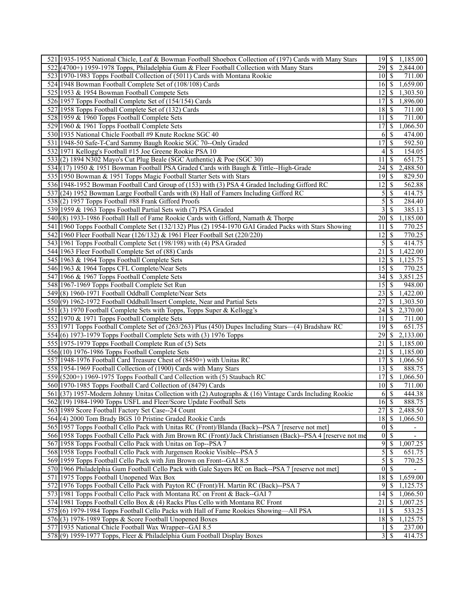| 521 1935-1955 National Chicle, Leaf & Bowman Football Shoebox Collection of (197) Cards with Many Stars                                        | $19$ $\sqrt{5}$      | 1,185.00                                  |
|------------------------------------------------------------------------------------------------------------------------------------------------|----------------------|-------------------------------------------|
| 522 (4700+) 1959-1978 Topps, Philadelphia Gum & Fleer Football Collection with Many Stars                                                      | 29                   | <sup>\$</sup><br>2,844.00                 |
| 523 1970-1983 Topps Football Collection of (5011) Cards with Montana Rookie                                                                    | $10\vert S$          | 711.00                                    |
| 524 1948 Bowman Football Complete Set of (108/108) Cards                                                                                       | 16 <sup> </sup>      | S<br>1,659.00                             |
| 525 1953 & 1954 Bowman Football Compete Sets                                                                                                   | 12                   | S<br>1,303.50                             |
| 526 1957 Topps Football Complete Set of (154/154) Cards                                                                                        | 17                   | S<br>1,896.00                             |
| 527 1958 Topps Football Complete Set of (132) Cards                                                                                            | 18                   | S<br>711.00                               |
| 528 1959 & 1960 Topps Football Complete Sets                                                                                                   | 11                   | <sup>\$</sup><br>711.00                   |
| 529 1960 & 1961 Topps Football Complete Sets                                                                                                   |                      | 1,066.50                                  |
| 530 1935 National Chicle Football #9 Knute Rockne SGC 40                                                                                       | 6                    | <sup>\$</sup><br>474.00                   |
| 531 1948-50 Safe-T-Card Sammy Baugh Rookie SGC 70--Only Graded                                                                                 | 17                   | \$<br>592.50                              |
| 532 1971 Kellogg's Football #15 Joe Greene Rookie PSA 10                                                                                       | 4 <sup>1</sup>       | S<br>154.05                               |
|                                                                                                                                                | 11                   | <sup>\$</sup><br>651.75                   |
| 533(2) 1894 N302 Mayo's Cut Plug Beale (SGC Authentic) & Poe (SGC 30)                                                                          |                      |                                           |
| 534 (17) 1950 & 1951 Bowman Football PSA Graded Cards with Baugh & Tittle--High-Grade                                                          | 24                   | 2,488.50<br>S                             |
| 535 1950 Bowman & 1951 Topps Magic Football Starter Sets with Stars                                                                            |                      | 829.50                                    |
| 536 1948-1952 Bowman Football Card Group of (153) with (3) PSA 4 Graded Including Gifford RC                                                   | 12                   | S<br>562.88                               |
| 537 (24) 1952 Bowman Large Football Cards with (8) Hall of Famers Including Gifford RC                                                         | 5                    | 414.75<br>S                               |
| 538 (2) 1957 Topps Football #88 Frank Gifford Proofs                                                                                           | 5                    | 284.40<br>S                               |
| 539 1959 & 1963 Topps Football Partial Sets with (7) PSA Graded                                                                                | $\frac{3}{ }$        | 385.13<br><sup>\$</sup>                   |
| 540 (8) 1933-1986 Football Hall of Fame Rookie Cards with Gifford, Namath & Thorpe                                                             | $20$   \$            | 1,185.00                                  |
| 541 1960 Topps Football Complete Set (132/132) Plus (2) 1954-1970 GAI Graded Packs with Stars Showing                                          | 11                   | <sup>\$</sup><br>770.25                   |
| 542 1960 Fleer Football Near (126/132) & 1961 Fleer Football Set (220/220)                                                                     | 12                   | \$<br>770.25                              |
| 543 1961 Topps Football Complete Set (198/198) with (4) PSA Graded                                                                             | 5                    | \$<br>414.75                              |
| 544 1963 Fleer Football Complete Set of (88) Cards                                                                                             | 21                   | 1,422.00<br>\$                            |
| 545 1963 & 1964 Topps Football Complete Sets                                                                                                   | 12                   | <sup>\$</sup><br>1,125.75                 |
| 546 1963 & 1964 Topps CFL Complete/Near Sets                                                                                                   | 15                   | 770.25<br>S                               |
| 547 1966 & 1967 Topps Football Complete Sets                                                                                                   | $34$ \ $\frac{1}{3}$ | 3,851.25                                  |
| 548 1967-1969 Topps Football Complete Set Run                                                                                                  | 15                   | <sup>\$</sup><br>948.00                   |
| 549(8) 1960-1971 Football Oddball Complete/Near Sets                                                                                           | 23                   | 1,422.00<br>S                             |
| 550(9) 1962-1972 Football Oddball/Insert Complete, Near and Partial Sets                                                                       | 27                   | S<br>1,303.50                             |
| 551 (3) 1970 Football Complete Sets with Topps, Topps Super & Kellogg's                                                                        | 24                   | 2,370.00<br>\$                            |
| 552 1970 & 1971 Topps Football Complete Sets                                                                                                   | 11                   | \$<br>711.00                              |
| 553 1971 Topps Football Complete Set of (263/263) Plus (450) Dupes Including Stars—(4) Bradshaw RC                                             | $19$ $\sigma$        | 651.75                                    |
| 554(6) 1973-1979 Topps Football Complete Sets with (3) 1976 Topps                                                                              | 29                   | \$<br>2,133.00                            |
| 555 1975-1979 Topps Football Complete Run of (5) Sets                                                                                          | 21                   | S<br>1,185.00                             |
| $556(10)$ 1976-1986 Topps Football Complete Sets                                                                                               | 21                   | S<br>1,185.00                             |
| 557 1948-1976 Football Card Treasure Chest of (8450+) with Unitas RC                                                                           | 17                   | \$<br>1,066.50                            |
| 558 1954-1969 Football Collection of (1900) Cards with Many Stars                                                                              | $13\overline{3}$     | 888.75                                    |
| 559 (5200+) 1969-1975 Topps Football Card Collection with (5) Staubach RC                                                                      | 17                   | \$<br>1,066.50                            |
| 560 1970-1985 Topps Football Card Collection of (8479) Cards                                                                                   | $10\sqrt{S}$         | 711.00                                    |
| 561 (37) 1957-Modern Johnny Unitas Collection with (2) Autographs & (16) Vintage Cards Including Rookie                                        | 6                    | $\mathbb{S}$<br>444.38                    |
| 562(19) 1984-1990 Topps USFL and Fleer/Score Update Football Sets                                                                              | 16                   | <sup>\$</sup><br>888.75                   |
| 563 1989 Score Football Factory Set Case--24 Count                                                                                             | 27                   | 2,488.50<br>S                             |
| 564(4) 2000 Tom Brady BGS 10 Pristine Graded Rookie Cards                                                                                      | $18$ $\sqrt{5}$      | 1,066.50                                  |
| 565 1957 Topps Football Cello Pack with Unitas RC (Front)/Blanda (Back)--PSA 7 [reserve not met]                                               | $\overline{0}$       | <sup>\$</sup><br>$\overline{\phantom{a}}$ |
| 566 1958 Topps Football Cello Pack with Jim Brown RC (Front)/Jack Christiansen (Back)--PSA 4 [reserve not me                                   | $\overline{0}$       | <sup>\$</sup><br>$\overline{\phantom{a}}$ |
| 567 1958 Topps Football Cello Pack with Unitas on Top--PSA 7                                                                                   | 9<br>$\overline{5}$  | \$<br>1,007.25                            |
| 568 1958 Topps Football Cello Pack with Jurgensen Rookie Visible--PSA 5                                                                        | $\overline{5}$       | \$<br>651.75                              |
| 569 1959 Topps Football Cello Pack with Jim Brown on Front--GAI 8.5                                                                            | $0\sqrt{S}$          | \$<br>770.25                              |
| 570 1966 Philadelphia Gum Football Cello Pack with Gale Sayers RC on Back--PSA 7 [reserve not met]<br>571 1975 Topps Football Unopened Wax Box | 18                   | <sup>\$</sup><br>1,659.00                 |
| 572 1976 Topps Football Cello Pack with Payton RC (Front)/H. Martin RC (Back)--PSA 7                                                           | 9                    | S<br>1,125.75                             |
| 573 1981 Topps Football Cello Pack with Montana RC on Front & Back--GAI 7                                                                      | 14                   | \$<br>1,066.50                            |
| 574 1981 Topps Football Cello Box & (4) Racks Plus Cello with Montana RC Front                                                                 | 21                   | \$<br>1,007.25                            |
| 575 (6) 1979-1984 Topps Football Cello Packs with Hall of Fame Rookies Showing—All PSA                                                         | 11                   | <sup>\$</sup><br>533.25                   |
| 576(3) 1978-1989 Topps & Score Football Unopened Boxes                                                                                         |                      | 1,125.75                                  |
| 577 1935 National Chicle Football Wax Wrapper--GAI 8.5                                                                                         |                      | S<br>237.00                               |
| 578(9) 1959-1977 Topps, Fleer & Philadelphia Gum Football Display Boxes                                                                        | $3\vert$             | S<br>414.75                               |
|                                                                                                                                                |                      |                                           |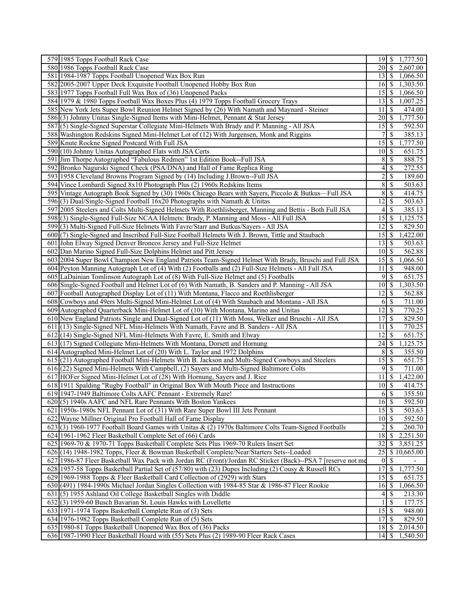| 579 1985 Topps Football Rack Case                                                                            |                            | 19 \$ 1,777.50                    |
|--------------------------------------------------------------------------------------------------------------|----------------------------|-----------------------------------|
| 580 1986 Topps Football Rack Case                                                                            | 20 L                       | \$<br>2,607.00                    |
| 581 1984-1987 Topps Football Unopened Wax Box Run                                                            | $13 \mid S$                | 1,066.50                          |
| 582 2005-2007 Upper Deck Exquisite Football Unopened Hobby Box Run                                           | 16 <sup> </sup>            | \$<br>1,303.50                    |
| 583 1977 Topps Football Full Wax Box of (36) Unopened Packs                                                  | 15 I                       | \$<br>1,066.50                    |
| 584 1979 & 1980 Topps Football Wax Boxes Plus (4) 1979 Topps Football Grocery Trays                          | 13                         | l \$<br>1,007.25                  |
| 585 New York Jets Super Bowl Reunion Helmet Signed by (26) With Namath and Maynard - Steiner                 | 11                         | <sup>\$</sup><br>474.00           |
| 586(3) Johnny Unitas Single-Signed Items with Mini-Helmet, Pennant & Stat Jersey                             | 20 \ \ \$                  | 1,777.50                          |
| 587(5) Single-Signed Superstar Collegiate Mini-Helmets With Brady and P. Manning - All JSA                   |                            | 592.50                            |
| 588 Washington Redskins Signed Mini-Helmet Lot of (12) With Jurgensen, Monk and Riggins                      | 7                          | \$<br>385.13                      |
| 589 Knute Rockne Signed Postcard With Full JSA                                                               | 15                         | \$<br>1,777.50                    |
| 590 (10) Johnny Unitas Autographed Flats with JSA Certs                                                      |                            | 651.75                            |
| 591 Jim Thorpe Autographed "Fabulous Redmen" 1st Edition Book--Full JSA                                      |                            | 8S<br>888.75                      |
| 592 Bronko Nagurski Signed Check (PSA/DNA) and Hall of Fame Replica Ring                                     | 4                          | \$<br>272.55                      |
| 593 1958 Cleveland Browns Program Signed by (14) Including J.Brown--Full JSA                                 | $\overline{2}$             | \$<br>189.60                      |
| 594 Vince Lombardi Signed 8x10 Photograph Plus (2) 1960s Redskins Items                                      | $\overline{8}$             | \$<br>503.63                      |
|                                                                                                              |                            | 414.75                            |
| 595 Vintage Autograph Book Signed by (30) 1960s Chicago Bears with Sayers, Piccolo & Butkus—Full JSA         | 8                          | \$                                |
| 596(3) Dual/Single-Signed Football 16x20 Photographs with Namath & Unitas                                    | 12                         | \$<br>503.63                      |
| 597 2005 Steelers and Colts Multi-Signed Helmets With Roethlisberger, Manning and Bettis - Both Full JSA     | 4 <sup>1</sup>             | <sup>\$</sup><br>385.13           |
| 598(3) Single-Signed Full-Size NCAA Helmets: Brady, P. Manning and Moss - All Full JSA                       | 15                         | \$<br>1,125.75                    |
| 599(3) Multi-Signed Full-Size Helmets With Favre/Starr and Butkus/Sayers - All JSA                           | 12                         | <sup>\$</sup><br>829.50           |
| 600(7) Single-Signed and Inscribed Full-Size Football Helmets With J. Brown, Tittle and Staubach             |                            | 1,422.00                          |
| 601 John Elway Signed Denver Broncos Jersey and Full-Size Helmet                                             | 13 <sup>1</sup>            | \$<br>503.63                      |
| 602 Dan Marino Signed Full-Size Dolphins Helmet and Pitt Jersey                                              |                            | 562.88                            |
| 603 2004 Super Bowl Champion New England Patriots Team-Signed Helmet With Brady, Bruschi and Full JSA        |                            | 1,066.50                          |
| 604 Peyton Manning Autograph Lot of (4) With (2) Footballs and (2) Full-Size Helmets - All Full JSA          | 11                         | 948.00<br><sup>\$</sup>           |
| 605 LaDainian Tomlinson Autograph Lot of (8) With Full-Size Helmet and (5) Footballs                         |                            | $9 \mid$ \$<br>651.75             |
| 606 Single-Signed Football and Helmet Lot of (6) With Namath, B. Sanders and P. Manning - All JSA            | 10                         | \$<br>1,303.50                    |
| 607 Football Autographed Display Lot of (11) With Montana, Flacco and Roethlisberger                         | 12                         | <sup>\$</sup><br>562.88           |
| 608 Cowboys and 49ers Multi-Signed Mini-Helmet Lot of (4) With Staubach and Montana - All JSA                | 6                          | \$<br>711.00                      |
| 609 Autographed Quarterback Mini-Helmet Lot of (10) With Montana, Marino and Unitas                          | 12                         | \$<br>770.25                      |
| 610 New England Patriots Single and Dual-Signed Lot of (11) With Moss, Welker and Bruschi - All JSA          | 17                         | $\overline{\mathbf{s}}$<br>829.50 |
| 611 (13) Single-Signed NFL Mini-Helmets With Namath, Favre and B. Sanders - All JSA                          | 11                         | <sup>\$</sup><br>770.25           |
| 612(14) Single-Signed NFL Mini-Helmets With Favre, E. Smith and Elway                                        | 12                         | \$<br>651.75                      |
| 613(17) Signed Collegiate Mini-Helmets With Montana, Dorsett and Hornung                                     | 24                         | \$<br>1,125.75                    |
| 614 Autographed Mini-Helmet Lot of (20) With L. Taylor and 1972 Dolphins                                     | 8                          | S<br>355.50                       |
| 615(21) Autographed Football Mini-Helmets With B. Jackson and Multi-Signed Cowboys and Steelers              | 15                         | \$<br>651.75                      |
| 616 (22) Signed Mini-Helmets With Campbell, (2) Sayers and Multi-Signed Baltimore Colts                      | 9                          | l \$<br>711.00                    |
| 617 HOFer Signed Mini-Helmet Lot of (28) With Hornung, Sayers and J. Rice                                    | 11                         | <sup>\$</sup><br>1,422.00         |
| 618 1911 Spalding "Rugby Football" in Original Box With Mouth Piece and Instructions                         | 10 <sup>1</sup>            | \$<br>414.75                      |
| 619 1947-1949 Baltimore Colts AAFC Pennant - Extremely Rare!                                                 | 6                          | \$<br>355.50                      |
| 620(5) 1940s AAFC and NFL Rare Pennants With Boston Yankees                                                  | $16$ $\overline{\text{S}}$ | 592.50                            |
| 621 1950s-1980s NFL Pennant Lot of (31) With Rare Super Bowl III Jets Pennant                                | $15\overline{\smash{)}\,}$ | 503.63                            |
| 622 Wayne Millner Original Pro Football Hall of Fame Display                                                 | $10$ $\sqrt{5}$            | 592.50                            |
| 623(3) 1960-1977 Football Board Games with Unitas & (2) 1970s Baltimore Colts Team-Signed Footballs          | $\overline{c}$             | 260.70<br>S                       |
|                                                                                                              | 18                         | 2,251.50                          |
| 624 1961-1962 Fleer Basketball Complete Set of (66) Cards                                                    |                            | S                                 |
| 625 1969-70 & 1970-71 Topps Basketball Complete Sets Plus 1969-70 Rulers Insert Set                          | 32                         | S<br>3,851.25                     |
| 626 (14) 1948-1982 Topps, Fleer & Bowman Basketball Complete/Near/Starters Sets--Loaded                      | 25                         | \$10,665.00                       |
| 627 1986-87 Fleer Basketball Wax Pack with Jordan RC (Front)/Jordan RC Sticker (Back)--PSA 7 [reserve not me | 0                          | \$                                |
| 628 1957-58 Topps Basketball Partial Set of (57/80) with (23) Dupes Including (2) Cousy & Russell RCs        | 17S                        | 1,777.50                          |
| 629 1969-1988 Topps & Fleer Basketball Card Collection of (2929) with Stars                                  | 15 <sup>1</sup>            | <sup>\$</sup><br>651.75           |
| 630 (491) 1984-1990s Michael Jordan Singles Collection with 1984-85 Star & 1986-87 Fleer Rookie              | $16$ $\sqrt{5}$            | 1,066.50                          |
| 631 (5) 1955 Ashland Oil College Basketball Singles with Diddle                                              | $4\vert$                   | <sup>\$</sup><br>213.30           |
| 632(3) 1959-60 Busch Bavarian St. Louis Hawks with Lovellette                                                |                            | <sup>\$</sup><br>177.75           |
| 633 1971-1974 Topps Basketball Complete Run of (3) Sets                                                      |                            | 948.00                            |
| 634 1976-1982 Topps Basketball Complete Run of (5) Sets                                                      |                            | 829.50                            |
| 635 1980-81 Topps Basketball Unopened Wax Box of (36) Packs                                                  | 18                         | S<br>2,014.50                     |
| 636 1987-1990 Fleer Basketball Hoard with (55) Sets Plus (2) 1989-90 Fleer Rack Cases                        | 14                         | S<br>1,540.50                     |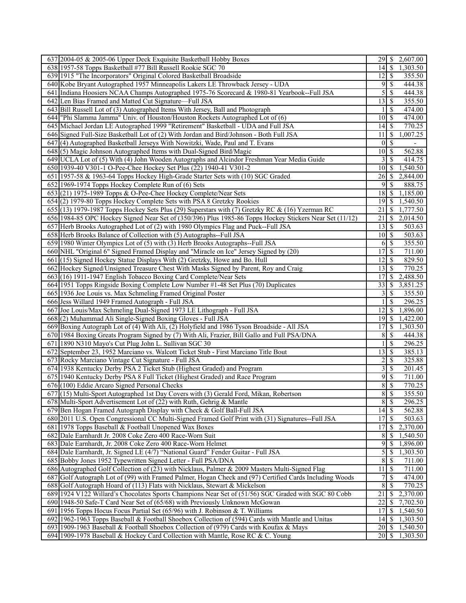| 637 2004-05 & 2005-06 Upper Deck Exquisite Basketball Hobby Boxes                                                                                                         | 2,607.00                                                             |
|---------------------------------------------------------------------------------------------------------------------------------------------------------------------------|----------------------------------------------------------------------|
| 638 1957-58 Topps Basketball #77 Bill Russell Rookie SGC 70                                                                                                               | $\mathcal{S}$<br>1,303.50<br>14                                      |
| 639 1915 "The Incorporators" Original Colored Basketball Broadside                                                                                                        | 355.50<br>$12 \mid S$                                                |
| 640 Kobe Bryant Autographed 1957 Minneapolis Lakers LE Throwback Jersey - UDA                                                                                             | 9<br>\$<br>444.38                                                    |
| 641 Indiana Hoosiers NCAA Champs Autographed 1975-76 Scorecard & 1980-81 Yearbook--Full JSA                                                                               | 5<br>444.38<br>\$                                                    |
| 642 Len Bias Framed and Matted Cut Signature-Full JSA                                                                                                                     | 13<br>355.50<br>  S                                                  |
| 643 Bill Russell Lot of (3) Autographed Items With Jersey, Ball and Photograph                                                                                            | <sup>\$</sup><br>474.00                                              |
| 644 "Phi Slamma Jamma" Univ. of Houston/Houston Rockets Autographed Lot of (6)                                                                                            | 474.00<br>$\mathcal{S}$<br>10                                        |
| 645 Michael Jordan LE Autographed 1999 "Retirement" Basketball - UDA and Full JSA                                                                                         | $14 \mid$ \$<br>770.25                                               |
| 646 Signed Full-Size Basketball Lot of (2) With Jordan and Bird/Johnson - Both Full JSA                                                                                   | 11<br>\$<br>1,007.25                                                 |
| 647(4) Autographed Basketball Jerseys With Nowitzki, Wade, Paul and T. Evans                                                                                              | $\mathbf{0}$<br>$\mathbb{S}$                                         |
| 648(5) Magic Johnson Autographed Items with Dual-Signed Bird/Magic                                                                                                        | $\overline{1}0$ \$<br>562.88                                         |
| 649 UCLA Lot of (5) With (4) John Wooden Autographs and Alcindor Freshman Year Media Guide                                                                                | $\overline{\mathcal{S}}$<br>3<br>414.75                              |
| 650 1939-40 V301-1 O-Pee-Chee Hockey Set Plus (22) 1940-41 V301-2                                                                                                         | 1,540.50<br>10<br>-S                                                 |
| 651 1957-58 & 1963-64 Topps Hockey High-Grade Starter Sets with (10) SGC Graded                                                                                           | 26<br>-S<br>2,844.00                                                 |
| 652 1969-1974 Topps Hockey Complete Run of (6) Sets                                                                                                                       | 9<br>888.75<br>-S                                                    |
| 653 (21) 1975-1989 Topps & O-Pee-Chee Hockey Complete/Near Sets                                                                                                           | 18<br>-\$<br>1,185.00                                                |
| 654 (2) 1979-80 Topps Hockey Complete Sets with PSA 8 Gretzky Rookies                                                                                                     | 19<br>l S<br>1,540.50                                                |
| 655 (13) 1979-1987 Topps Hockey Sets Plus (29) Superstars with (7) Gretzky RC & (16) Yzerman RC                                                                           | 21<br>\$<br>1,777.50                                                 |
| 656 1984-85 OPC Hockey Signed Near Set of (350/396) Plus 1985-86 Topps Hockey Stickers Near Set (11/12)                                                                   | 21<br>$\mathbf{\$}$<br>$\overline{2,01}4.50$                         |
| 657 Herb Brooks Autographed Lot of (2) with 1980 Olympics Flag and Puck--Full JSA                                                                                         | S<br>503.63<br>13                                                    |
| 658 Herb Brooks Balance of Collection with (5) Autographs--Full JSA                                                                                                       | $\vert$ \$<br>503.63<br>10                                           |
| 659 1980 Winter Olympics Lot of (5) with (3) Herb Brooks Autographs--Full JSA                                                                                             | $\mathcal{S}$<br>355.50<br>6                                         |
| 660 NHL "Original 6" Signed Framed Display and "Miracle on Ice" Jersey Signed by (20)                                                                                     | 17<br>$\mathbb{S}$<br>711.00                                         |
| 661 (15) Signed Hockey Statue Displays With (2) Gretzky, Howe and Bo. Hull                                                                                                | 12<br>$\mathcal{S}$<br>829.50                                        |
| 662 Hockey Signed/Unsigned Treasure Chest With Masks Signed by Parent, Roy and Craig                                                                                      | 770.25<br>13<br>-\$                                                  |
| 663 (16) 1911-1947 English Tobacco Boxing Card Complete/Near Sets                                                                                                         | \$<br>2,488.50<br>17                                                 |
| 664 1951 Topps Ringside Boxing Complete Low Number #1-48 Set Plus (70) Duplicates                                                                                         | 33<br>3,851.25<br>S                                                  |
| 665 1936 Joe Louis vs. Max Schmeling Framed Original Poster                                                                                                               | 3<br><sup>\$</sup><br>355.50                                         |
| 666 Jess Willard 1949 Framed Autograph - Full JSA                                                                                                                         | <sup>\$</sup><br>296.25                                              |
| 667 Joe Louis/Max Schmeling Dual-Signed 1973 LE Lithograph - Full JSA                                                                                                     | 1,896.00<br>12<br>-S                                                 |
| 668(2) Muhammad Ali Single-Signed Boxing Gloves - Full JSA                                                                                                                | 19<br>  \$<br>1,422.00                                               |
| 669 Boxing Autograph Lot of (4) With Ali, (2) Holyfield and 1986 Tyson Broadside - All JSA                                                                                | <sup>\$</sup><br>1,303.50<br>17                                      |
| 670 1984 Boxing Greats Program Signed by (7) With Ali, Frazier, Bill Gallo and Full PSA/DNA                                                                               | 8<br>\$<br>444.38                                                    |
| 671 1890 N310 Mayo's Cut Plug John L. Sullivan SGC 30                                                                                                                     | $\mathcal{S}$<br>296.25                                              |
|                                                                                                                                                                           | 13<br>$\mathcal{S}$                                                  |
| 672 September 23, 1952 Marciano vs. Walcott Ticket Stub - First Marciano Title Bout                                                                                       | 385.13                                                               |
| 673 Rocky Marciano Vintage Cut Signature - Full JSA                                                                                                                       | $\overline{c}$<br>$\mathcal{S}$<br>325.88<br>$\overline{\mathbf{3}}$ |
| 674 1938 Kentucky Derby PSA 2 Ticket Stub (Highest Graded) and Program                                                                                                    | -\$<br>201.45                                                        |
| 675 1940 Kentucky Derby PSA 8 Full Ticket (Highest Graded) and Race Program                                                                                               | 9<br>$\mathbf{\$}$<br>711.00                                         |
| 676 (100) Eddie Arcaro Signed Personal Checks                                                                                                                             | 8<br>770.25<br>\$                                                    |
| 677 (15) Multi-Sport Autographed 1st Day Covers with (3) Gerald Ford, Mikan, Robertson                                                                                    | 8S<br>355.50                                                         |
| 678 Multi-Sport Advertisement Lot of (22) with Ruth, Gehrig & Mantle                                                                                                      | $8 \mid S$<br>296.25                                                 |
| 679 Ben Hogan Framed Autograph Display with Check & Golf Ball-Full JSA                                                                                                    | $14\overline{3}$<br>$\overline{562.88}$                              |
| 680 2011 U.S. Open Congressional CC Multi-Signed Framed Golf Print with (31) Signatures--Full JSA                                                                         | $17$ $\sqrt{5}$<br>503.63                                            |
| 681 1978 Topps Baseball & Football Unopened Wax Boxes                                                                                                                     | \$<br>2,370.00<br>17                                                 |
| 682 Dale Earnhardt Jr. 2008 Coke Zero 400 Race-Worn Suit                                                                                                                  | 8<br>1,540.50<br>S                                                   |
| 683 Dale Earnhardt, Jr. 2008 Coke Zero 400 Race-Worn Helmet                                                                                                               | 9<br>-S<br>1,896.00                                                  |
| 684 Dale Earnhardt, Jr. Signed LE (4/7) "National Guard" Fender Guitar - Full JSA                                                                                         | $\mathfrak{S}$<br>$\mathcal{S}$<br>1,303.50                          |
| 685 Bobby Jones 1952 Typewritten Signed Letter - Full PSA/DNA                                                                                                             | $8\,$<br>$\mathcal{S}$<br>711.00                                     |
| 686 Autographed Golf Collection of (23) with Nicklaus, Palmer & 2009 Masters Multi-Signed Flag                                                                            | 11<br>711.00<br>-\$                                                  |
| 687 Golf Autograph Lot of (99) with Framed Palmer, Hogan Check and (97) Certified Cards Including Woods                                                                   | \$<br>7<br>474.00                                                    |
|                                                                                                                                                                           |                                                                      |
| 688 Golf Autograph Hoard of (113) Flats with Nicklaus, Stewart & Mickelson                                                                                                | 8<br>\$<br>770.25                                                    |
| 689 1924 V122 Willard's Chocolates Sports Champions Near Set of (51/56) SGC Graded with SGC 80 Cobb                                                                       | 21<br>2,370.00<br>\$                                                 |
| 690 1948-50 Safe-T Card Near Set of (65/68) with Previously Unknown McGowan                                                                                               | 22<br>7,702.50<br>\$                                                 |
| 691 1956 Topps Hocus Focus Partial Set (65/96) with J. Robinson & T. Williams                                                                                             | 17<br>1,540.50<br>S                                                  |
| 692 1962-1963 Topps Baseball & Football Shoebox Collection of (594) Cards with Mantle and Unitas                                                                          | 1,303.50<br>$14$ $\sqrt{5}$                                          |
| 693 1909-1963 Baseball & Football Shoebox Collection of (979) Cards with Koufax & Mays<br>694 1909-1978 Baseball & Hockey Card Collection with Mantle, Rose RC & C. Young | 20<br>1,540.50<br>-S<br>$20$   \$<br>1,303.50                        |